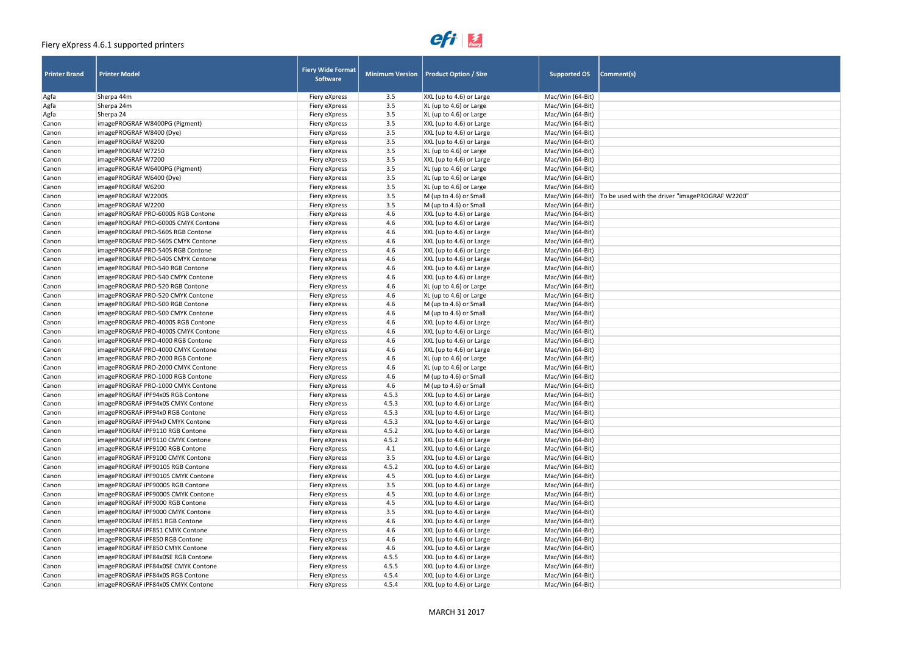# $e$ *fi*  $\frac{1}{\text{few}}$

| gePROGRAF W2200" |  |
|------------------|--|
|                  |  |
|                  |  |
|                  |  |
|                  |  |
|                  |  |
|                  |  |
|                  |  |
|                  |  |
|                  |  |
|                  |  |
|                  |  |
|                  |  |
|                  |  |
|                  |  |
|                  |  |
|                  |  |
|                  |  |
|                  |  |
|                  |  |
|                  |  |
|                  |  |
|                  |  |
|                  |  |
|                  |  |
|                  |  |
|                  |  |
|                  |  |
|                  |  |
|                  |  |
|                  |  |
|                  |  |
|                  |  |
|                  |  |
|                  |  |
|                  |  |
|                  |  |
|                  |  |
|                  |  |
|                  |  |
|                  |  |
|                  |  |
|                  |  |
|                  |  |
|                  |  |
|                  |  |
|                  |  |
|                  |  |
|                  |  |
|                  |  |
|                  |  |
|                  |  |
|                  |  |
|                  |  |

| <b>Printer Brand</b> | <b>Printer Model</b>                | <b>Fiery Wide Format</b><br><b>Software</b> |                | Minimum Version   Product Option / Size | <b>Supported OS</b> | Comment(s)                                                         |
|----------------------|-------------------------------------|---------------------------------------------|----------------|-----------------------------------------|---------------------|--------------------------------------------------------------------|
| Agfa                 | Sherpa 44m                          | Fiery eXpress                               | 3.5            | XXL (up to 4.6) or Large                | Mac/Win (64-Bit)    |                                                                    |
| Agfa                 | Sherpa 24m                          | Fiery eXpress                               | 3.5            | XL (up to 4.6) or Large                 | Mac/Win (64-Bit)    |                                                                    |
| Agfa                 | Sherpa 24                           | Fiery eXpress                               | 3.5            | XL (up to 4.6) or Large                 | Mac/Win (64-Bit)    |                                                                    |
| Canon                | imagePROGRAF W8400PG (Pigment)      | Fiery eXpress                               | 3.5            | XXL (up to 4.6) or Large                | Mac/Win (64-Bit)    |                                                                    |
| Canon                | imagePROGRAF W8400 (Dye)            | Fiery eXpress                               | 3.5            | XXL (up to 4.6) or Large                | Mac/Win (64-Bit)    |                                                                    |
| Canon                | imagePROGRAF W8200                  | Fiery eXpress                               | 3.5            | XXL (up to 4.6) or Large                | Mac/Win (64-Bit)    |                                                                    |
| Canon                | imagePROGRAF W7250                  | Fiery eXpress                               | 3.5            | XL (up to 4.6) or Large                 | Mac/Win (64-Bit)    |                                                                    |
| Canon                | imagePROGRAF W7200                  | Fiery eXpress                               | 3.5            | XXL (up to 4.6) or Large                | Mac/Win (64-Bit)    |                                                                    |
| Canon                | imagePROGRAF W6400PG (Pigment)      | Fiery eXpress                               | 3.5            | XL (up to 4.6) or Large                 | Mac/Win (64-Bit)    |                                                                    |
| Canon                | imagePROGRAF W6400 (Dye)            | Fiery eXpress                               | 3.5            | XL (up to 4.6) or Large                 | Mac/Win (64-Bit)    |                                                                    |
| Canon                | imagePROGRAF W6200                  | Fiery eXpress                               | 3.5            | XL (up to 4.6) or Large                 | Mac/Win (64-Bit)    |                                                                    |
| Canon                | imagePROGRAF W2200S                 | Fiery eXpress                               | 3.5            | M (up to 4.6) or Small                  |                     | Mac/Win (64-Bit)   To be used with the driver "imagePROGRAF W2200" |
| Canon                | imagePROGRAF W2200                  | Fiery eXpress                               | 3.5            | M (up to 4.6) or Small                  | Mac/Win (64-Bit)    |                                                                    |
| Canon                | imagePROGRAF PRO-6000S RGB Contone  | Fiery eXpress                               | 4.6            | XXL (up to 4.6) or Large                | Mac/Win (64-Bit)    |                                                                    |
| Canon                | imagePROGRAF PRO-6000S CMYK Contone | Fiery eXpress                               | 4.6            | XXL (up to 4.6) or Large                | Mac/Win (64-Bit)    |                                                                    |
| Canon                | imagePROGRAF PRO-560S RGB Contone   | Fiery eXpress                               | 4.6            | XXL (up to 4.6) or Large                | Mac/Win (64-Bit)    |                                                                    |
| Canon                | imagePROGRAF PRO-560S CMYK Contone  | Fiery eXpress                               | 4.6            | XXL (up to 4.6) or Large                | Mac/Win (64-Bit)    |                                                                    |
| Canon                | imagePROGRAF PRO-540S RGB Contone   | Fiery eXpress                               | 4.6            | XXL (up to 4.6) or Large                | Mac/Win (64-Bit)    |                                                                    |
| Canon                | imagePROGRAF PRO-540S CMYK Contone  | Fiery eXpress                               | 4.6            | XXL (up to 4.6) or Large                | Mac/Win (64-Bit)    |                                                                    |
| Canon                | imagePROGRAF PRO-540 RGB Contone    | Fiery eXpress                               | 4.6            | XXL (up to 4.6) or Large                | Mac/Win (64-Bit)    |                                                                    |
| Canon                | imagePROGRAF PRO-540 CMYK Contone   | Fiery eXpress                               | 4.6            | XXL (up to 4.6) or Large                | Mac/Win (64-Bit)    |                                                                    |
| Canon                | imagePROGRAF PRO-520 RGB Contone    | Fiery eXpress                               | 4.6            | XL (up to 4.6) or Large                 | Mac/Win (64-Bit)    |                                                                    |
| Canon                | imagePROGRAF PRO-520 CMYK Contone   | Fiery eXpress                               | 4.6            | XL (up to 4.6) or Large                 | Mac/Win (64-Bit)    |                                                                    |
| Canon                | imagePROGRAF PRO-500 RGB Contone    | Fiery eXpress                               | 4.6            | M (up to 4.6) or Small                  | Mac/Win (64-Bit)    |                                                                    |
| Canon                | imagePROGRAF PRO-500 CMYK Contone   | Fiery eXpress                               | 4.6            | M (up to 4.6) or Small                  | Mac/Win (64-Bit)    |                                                                    |
| Canon                | imagePROGRAF PRO-4000S RGB Contone  | Fiery eXpress                               | 4.6            | XXL (up to 4.6) or Large                | Mac/Win (64-Bit)    |                                                                    |
| Canon                | imagePROGRAF PRO-4000S CMYK Contone | Fiery eXpress                               | 4.6            | XXL (up to 4.6) or Large                | Mac/Win (64-Bit)    |                                                                    |
| Canon                | imagePROGRAF PRO-4000 RGB Contone   | Fiery eXpress                               | 4.6            | XXL (up to 4.6) or Large                | Mac/Win (64-Bit)    |                                                                    |
| Canon                | imagePROGRAF PRO-4000 CMYK Contone  | Fiery eXpress                               | 4.6            | XXL (up to 4.6) or Large                | Mac/Win (64-Bit)    |                                                                    |
| Canon                | imagePROGRAF PRO-2000 RGB Contone   | Fiery eXpress                               | 4.6            | XL (up to 4.6) or Large                 | Mac/Win (64-Bit)    |                                                                    |
| Canon                | imagePROGRAF PRO-2000 CMYK Contone  | Fiery eXpress                               | 4.6            | XL (up to 4.6) or Large                 | Mac/Win (64-Bit)    |                                                                    |
| Canon                | imagePROGRAF PRO-1000 RGB Contone   | Fiery eXpress                               | 4.6            | M (up to 4.6) or Small                  | Mac/Win (64-Bit)    |                                                                    |
| Canon                | imagePROGRAF PRO-1000 CMYK Contone  | Fiery eXpress                               | 4.6            | M (up to 4.6) or Small                  | Mac/Win (64-Bit)    |                                                                    |
| Canon                | imagePROGRAF iPF94x0S RGB Contone   | Fiery eXpress                               | 4.5.3          | XXL (up to 4.6) or Large                | Mac/Win (64-Bit)    |                                                                    |
| Canon                | imagePROGRAF iPF94x0S CMYK Contone  |                                             |                | XXL (up to 4.6) or Large                | Mac/Win (64-Bit)    |                                                                    |
| Canon                | imagePROGRAF iPF94x0 RGB Contone    | Fiery express<br>Fiery eXpress              | 4.5.3<br>4.5.3 | XXL (up to 4.6) or Large                | Mac/Win (64-Bit)    |                                                                    |
| Canon                | imagePROGRAF iPF94x0 CMYK Contone   |                                             | 4.5.3          | XXL (up to 4.6) or Large                | Mac/Win (64-Bit)    |                                                                    |
| Canon                | imagePROGRAF iPF9110 RGB Contone    | Fiery eXpress                               | 4.5.2          | XXL (up to 4.6) or Large                | Mac/Win (64-Bit)    |                                                                    |
|                      |                                     | Fiery eXpress                               |                |                                         |                     |                                                                    |
| Canon                | imagePROGRAF iPF9110 CMYK Contone   | Fiery eXpress                               | 4.5.2          | XXL (up to 4.6) or Large                | Mac/Win (64-Bit)    |                                                                    |
| Canon                | imagePROGRAF iPF9100 RGB Contone    | Fiery eXpress                               | 4.1            | XXL (up to 4.6) or Large                | Mac/Win (64-Bit)    |                                                                    |
| Canon                | imagePROGRAF iPF9100 CMYK Contone   | Fiery eXpress                               | 3.5            | XXL (up to 4.6) or Large                | Mac/Win (64-Bit)    |                                                                    |
| Canon                | imagePROGRAF iPF9010S RGB Contone   | Fiery eXpress                               | 4.5.2          | XXL (up to 4.6) or Large                | Mac/Win (64-Bit)    |                                                                    |
| Canon                | imagePROGRAF iPF9010S CMYK Contone  | Fiery eXpress                               | 4.5            | XXL (up to 4.6) or Large                | Mac/Win (64-Bit)    |                                                                    |
| Canon                | imagePROGRAF iPF9000S RGB Contone   | Fiery eXpress                               | 3.5            | XXL (up to 4.6) or Large                | Mac/Win (64-Bit)    |                                                                    |
| Canon                | imagePROGRAF iPF9000S CMYK Contone  | Fiery eXpress                               | 4.5            | XXL (up to 4.6) or Large                | Mac/Win (64-Bit)    |                                                                    |
| Canon                | imagePROGRAF iPF9000 RGB Contone    | Fiery eXpress                               | 4.5            | XXL (up to 4.6) or Large                | Mac/Win (64-Bit)    |                                                                    |
| Canon                | imagePROGRAF iPF9000 CMYK Contone   | Fiery eXpress                               | 3.5            | XXL (up to 4.6) or Large                | Mac/Win (64-Bit)    |                                                                    |
| Canon                | imagePROGRAF iPF851 RGB Contone     | Fiery eXpress                               | 4.6            | XXL (up to 4.6) or Large                | Mac/Win (64-Bit)    |                                                                    |
| Canon                | imagePROGRAF iPF851 CMYK Contone    | Fiery eXpress                               | 4.6            | XXL (up to 4.6) or Large                | Mac/Win (64-Bit)    |                                                                    |
| Canon                | imagePROGRAF iPF850 RGB Contone     | Fiery eXpress                               | 4.6            | XXL (up to 4.6) or Large                | Mac/Win (64-Bit)    |                                                                    |
| Canon                | imagePROGRAF iPF850 CMYK Contone    | Fiery eXpress                               | 4.6            | XXL (up to 4.6) or Large                | Mac/Win (64-Bit)    |                                                                    |
| Canon                | imagePROGRAF iPF84x0SE RGB Contone  | Fiery eXpress                               | 4.5.5          | XXL (up to 4.6) or Large                | Mac/Win (64-Bit)    |                                                                    |
| Canon                | imagePROGRAF iPF84x0SE CMYK Contone | Fiery eXpress                               | 4.5.5          | XXL (up to 4.6) or Large                | Mac/Win (64-Bit)    |                                                                    |
| Canon                | imagePROGRAF iPF84x0S RGB Contone   | Fiery eXpress                               | 4.5.4          | XXL (up to 4.6) or Large                | Mac/Win (64-Bit)    |                                                                    |
| Canon                | imagePROGRAF iPF84x0S CMYK Contone  | Fiery eXpress                               | 4.5.4          | XXL (up to 4.6) or Large                | Mac/Win (64-Bit)    |                                                                    |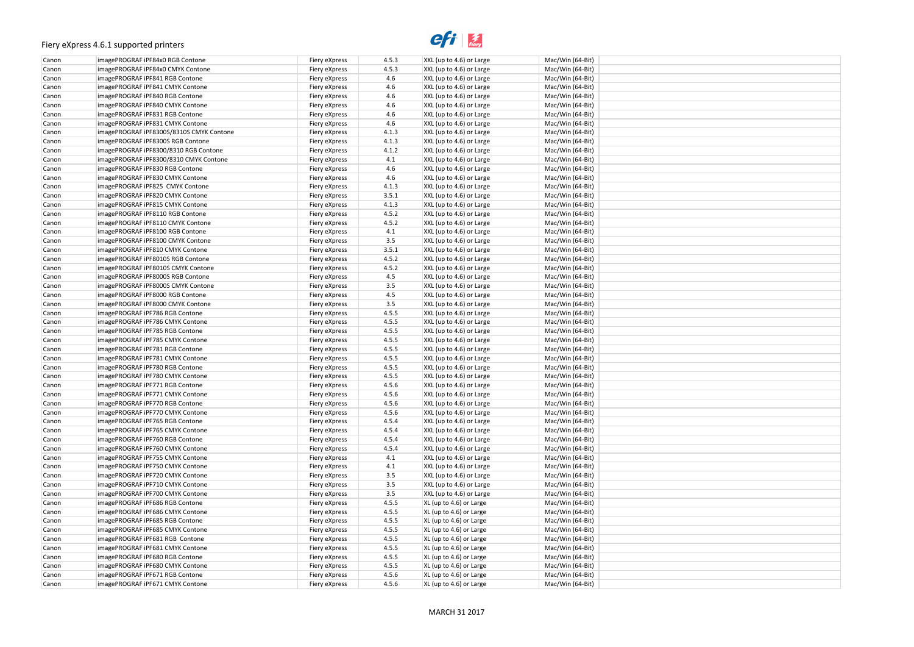### $e$ *f*  $\frac{1}{\text{few}}$

| Canon | imagePROGRAF iPF84x0 RGB Contone         | Fiery eXpress | 4.5.3   | XXL (up to 4.6) or Large    | Mac/Win (64-Bit) |
|-------|------------------------------------------|---------------|---------|-----------------------------|------------------|
| Canon | imagePROGRAF iPF84x0 CMYK Contone        | Fiery eXpress | 4.5.3   | XXL (up to 4.6) or Large    | Mac/Win (64-Bit) |
| Canon | imagePROGRAF iPF841 RGB Contone          | Fiery eXpress | 4.6     | XXL (up to 4.6) or Large    | Mac/Win (64-Bit) |
| Canon | imagePROGRAF iPF841 CMYK Contone         | Fiery eXpress | 4.6     | XXL (up to 4.6) or Large    | Mac/Win (64-Bit) |
| Canon | imagePROGRAF iPF840 RGB Contone          | Fiery eXpress | 4.6     | XXL (up to 4.6) or Large    | Mac/Win (64-Bit) |
| Canon | imagePROGRAF iPF840 CMYK Contone         | Fiery eXpress | 4.6     | XXL (up to 4.6) or Large    | Mac/Win (64-Bit) |
| Canon | imagePROGRAF iPF831 RGB Contone          | Fiery eXpress | 4.6     | XXL (up to 4.6) or Large    | Mac/Win (64-Bit) |
| Canon | imagePROGRAF iPF831 CMYK Contone         | Fiery eXpress | 4.6     | XXL (up to 4.6) or Large    | Mac/Win (64-Bit) |
| Canon | imagePROGRAF iPF8300S/8310S CMYK Contone | Fiery eXpress | 4.1.3   | XXL (up to 4.6) or Large    | Mac/Win (64-Bit) |
| Canon | imagePROGRAF iPF8300S RGB Contone        | Fiery eXpress | 4.1.3   | XXL (up to 4.6) or Large    | Mac/Win (64-Bit) |
| Canon | imagePROGRAF iPF8300/8310 RGB Contone    | Fiery eXpress | 4.1.2   | XXL (up to 4.6) or Large    | Mac/Win (64-Bit) |
| Canon | imagePROGRAF iPF8300/8310 CMYK Contone   | Fiery eXpress | 4.1     | XXL (up to 4.6) or Large    | Mac/Win (64-Bit) |
| Canon | imagePROGRAF iPF830 RGB Contone          | Fiery eXpress | 4.6     | XXL (up to 4.6) or Large    | Mac/Win (64-Bit) |
| Canon | imagePROGRAF iPF830 CMYK Contone         | Fiery eXpress | 4.6     | XXL (up to 4.6) or Large    | Mac/Win (64-Bit) |
| Canon | imagePROGRAF iPF825 CMYK Contone         | Fiery eXpress | 4.1.3   | XXL (up to 4.6) or Large    | Mac/Win (64-Bit) |
| Canon | imagePROGRAF iPF820 CMYK Contone         | Fiery eXpress | 3.5.1   | XXL (up to 4.6) or Large    | Mac/Win (64-Bit) |
| Canon | imagePROGRAF iPF815 CMYK Contone         | Fiery eXpress | 4.1.3   | XXL (up to 4.6) or Large    | Mac/Win (64-Bit) |
| Canon | imagePROGRAF iPF8110 RGB Contone         | Fiery eXpress | 4.5.2   | XXL (up to 4.6) or Large    | Mac/Win (64-Bit) |
| Canon | imagePROGRAF iPF8110 CMYK Contone        | Fiery eXpress | 4.5.2   | XXL (up to 4.6) or Large    | Mac/Win (64-Bit) |
| Canon | imagePROGRAF iPF8100 RGB Contone         | Fiery eXpress | 4.1     | XXL (up to 4.6) or Large    | Mac/Win (64-Bit) |
| Canon | imagePROGRAF iPF8100 CMYK Contone        | Fiery eXpress | 3.5     | $ XXL$ (up to 4.6) or Large | Mac/Win (64-Bit) |
| Canon | imagePROGRAF iPF810 CMYK Contone         | Fiery eXpress | 3.5.1   | XXL (up to 4.6) or Large    | Mac/Win (64-Bit) |
| Canon | imagePROGRAF iPF8010S RGB Contone        | Fiery eXpress | 4.5.2   | XXL (up to 4.6) or Large    | Mac/Win (64-Bit) |
| Canon | imagePROGRAF iPF8010S CMYK Contone       | Fiery eXpress | 4.5.2   | XXL (up to 4.6) or Large    | Mac/Win (64-Bit) |
| Canon | imagePROGRAF iPF8000S RGB Contone        | Fiery eXpress | 4.5     | XXL (up to 4.6) or Large    | Mac/Win (64-Bit) |
| Canon | imagePROGRAF iPF8000S CMYK Contone       | Fiery eXpress | 3.5     | XXL (up to 4.6) or Large    | Mac/Win (64-Bit) |
| Canon | imagePROGRAF iPF8000 RGB Contone         | Fiery eXpress | 4.5     | XXL (up to 4.6) or Large    | Mac/Win (64-Bit) |
| Canon | imagePROGRAF iPF8000 CMYK Contone        | Fiery eXpress | 3.5     | XXL (up to 4.6) or Large    | Mac/Win (64-Bit) |
| Canon | imagePROGRAF iPF786 RGB Contone          | Fiery eXpress | 4.5.5   | XXL (up to 4.6) or Large    | Mac/Win (64-Bit) |
| Canon | imagePROGRAF iPF786 CMYK Contone         | Fiery eXpress | 4.5.5   | XXL (up to 4.6) or Large    | Mac/Win (64-Bit) |
| Canon | imagePROGRAF iPF785 RGB Contone          | Fiery eXpress | 4.5.5   | XXL (up to 4.6) or Large    | Mac/Win (64-Bit) |
| Canon | imagePROGRAF iPF785 CMYK Contone         | Fiery eXpress | 4.5.5   | XXL (up to 4.6) or Large    | Mac/Win (64-Bit) |
| Canon | imagePROGRAF iPF781 RGB Contone          | Fiery eXpress | 4.5.5   | XXL (up to 4.6) or Large    | Mac/Win (64-Bit) |
| Canon | imagePROGRAF iPF781 CMYK Contone         | Fiery eXpress | 4.5.5   | XXL (up to 4.6) or Large    | Mac/Win (64-Bit) |
| Canon | imagePROGRAF iPF780 RGB Contone          | Fiery eXpress | 4.5.5   | XXL (up to 4.6) or Large    | Mac/Win (64-Bit) |
| Canon | imagePROGRAF iPF780 CMYK Contone         | Fiery eXpress | 4.5.5   | XXL (up to 4.6) or Large    | Mac/Win (64-Bit) |
| Canon | imagePROGRAF iPF771 RGB Contone          | Fiery eXpress | 4.5.6   | XXL (up to 4.6) or Large    | Mac/Win (64-Bit) |
| Canon | imagePROGRAF iPF771 CMYK Contone         | Fiery eXpress | 4.5.6   | XXL (up to 4.6) or Large    | Mac/Win (64-Bit) |
| Canon | imagePROGRAF iPF770 RGB Contone          | Fiery eXpress | 4.5.6   | XXL (up to 4.6) or Large    | Mac/Win (64-Bit) |
| Canon | imagePROGRAF iPF770 CMYK Contone         | Fiery eXpress | 4.5.6   | XXL (up to 4.6) or Large    | Mac/Win (64-Bit) |
| Canon | imagePROGRAF iPF765 RGB Contone          | Fiery eXpress | 4.5.4   | XXL (up to 4.6) or Large    | Mac/Win (64-Bit) |
| Canon | imagePROGRAF iPF765 CMYK Contone         | Fiery eXpress | 4.5.4   | XXL (up to 4.6) or Large    | Mac/Win (64-Bit) |
| Canon | imagePROGRAF iPF760 RGB Contone          | Fiery eXpress | 4.5.4   | XXL (up to 4.6) or Large    | Mac/Win (64-Bit) |
| Canon | imagePROGRAF iPF760 CMYK Contone         | Fiery eXpress | 4.5.4   | XXL (up to 4.6) or Large    | Mac/Win (64-Bit) |
| Canon | imagePROGRAF iPF755 CMYK Contone         | Fiery eXpress | 4.1     | XXL (up to 4.6) or Large    | Mac/Win (64-Bit) |
| Canon | imagePROGRAF iPF750 CMYK Contone         | Fiery eXpress | 4.1     | XXL (up to 4.6) or Large    | Mac/Win (64-Bit) |
| Canon | imagePROGRAF iPF720 CMYK Contone         | Fiery eXpress | 3.5     | XXL (up to 4.6) or Large    | Mac/Win (64-Bit) |
| Canon | imagePROGRAF iPF710 CMYK Contone         | Fiery eXpress | $3.5\,$ | XXL (up to 4.6) or Large    | Mac/Win (64-Bit) |
| Canon | imagePROGRAF iPF700 CMYK Contone         | Fiery eXpress | 3.5     | XXL (up to 4.6) or Large    | Mac/Win (64-Bit) |
| Canon | imagePROGRAF iPF686 RGB Contone          | Fiery eXpress | 4.5.5   | $XL$ (up to 4.6) or Large   | Mac/Win (64-Bit) |
| Canon | imagePROGRAF iPF686 CMYK Contone         | Fiery eXpress | 4.5.5   | $XL$ (up to 4.6) or Large   | Mac/Win (64-Bit) |
| Canon | imagePROGRAF iPF685 RGB Contone          | Fiery eXpress | 4.5.5   | $XL$ (up to 4.6) or Large   | Mac/Win (64-Bit) |
| Canon | imagePROGRAF iPF685 CMYK Contone         | Fiery eXpress | 4.5.5   | $XL$ (up to 4.6) or Large   | Mac/Win (64-Bit) |
| Canon | imagePROGRAF iPF681 RGB Contone          | Fiery eXpress | 4.5.5   | $XL$ (up to 4.6) or Large   | Mac/Win (64-Bit) |
| Canon | imagePROGRAF iPF681 CMYK Contone         | Fiery eXpress | 4.5.5   | $XL$ (up to 4.6) or Large   | Mac/Win (64-Bit) |
| Canon | imagePROGRAF iPF680 RGB Contone          | Fiery eXpress | 4.5.5   | XL (up to 4.6) or Large     | Mac/Win (64-Bit) |
| Canon | imagePROGRAF iPF680 CMYK Contone         | Fiery eXpress | 4.5.5   | $XL$ (up to 4.6) or Large   | Mac/Win (64-Bit) |
| Canon | imagePROGRAF iPF671 RGB Contone          | Fiery eXpress | 4.5.6   | $XL$ (up to 4.6) or Large   | Mac/Win (64-Bit) |
| Canon | imagePROGRAF iPF671 CMYK Contone         | Fiery eXpress | 4.5.6   | XL (up to 4.6) or Large     | Mac/Win (64-Bit) |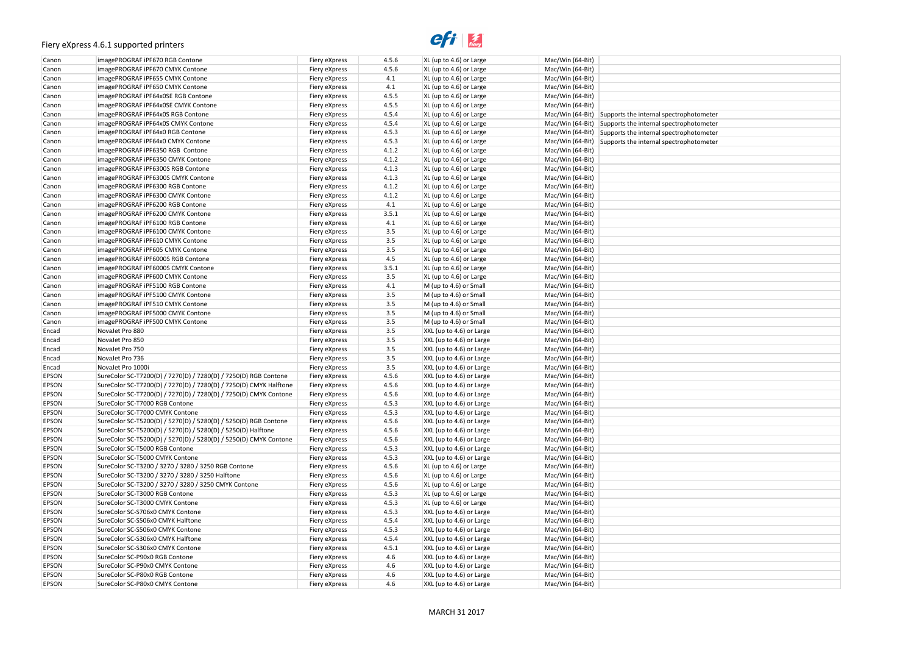# $e$ *fi*  $\frac{1}{\text{f}}$

| otometer |  |
|----------|--|
| otometer |  |
| otometer |  |
| otometer |  |
|          |  |
|          |  |
|          |  |
|          |  |
|          |  |
|          |  |
|          |  |
|          |  |
|          |  |
|          |  |
|          |  |
|          |  |
|          |  |
|          |  |
|          |  |
|          |  |
|          |  |
|          |  |
|          |  |
|          |  |
|          |  |
|          |  |
|          |  |
|          |  |
|          |  |
|          |  |
|          |  |
|          |  |
|          |  |
|          |  |
|          |  |
|          |  |
|          |  |
|          |  |
|          |  |
|          |  |
|          |  |
|          |  |
|          |  |
|          |  |
|          |  |
|          |  |
|          |  |
|          |  |
|          |  |
|          |  |
|          |  |
|          |  |
|          |  |
|          |  |
|          |  |
|          |  |
|          |  |
|          |  |
|          |  |
|          |  |

| Canon        | imagePROGRAF iPF670 RGB Contone                                   | Fiery eXpress | 4.5.6   | $XL$ (up to 4.6) or Large        | Mac/Win (64-Bit) |                                                          |
|--------------|-------------------------------------------------------------------|---------------|---------|----------------------------------|------------------|----------------------------------------------------------|
| Canon        | imagePROGRAF iPF670 CMYK Contone                                  | Fiery eXpress | 4.5.6   | $XL$ (up to 4.6) or Large        | Mac/Win (64-Bit) |                                                          |
| Canon        | imagePROGRAF iPF655 CMYK Contone                                  | Fiery eXpress | 4.1     | $XL$ (up to 4.6) or Large        | Mac/Win (64-Bit) |                                                          |
| Canon        | imagePROGRAF iPF650 CMYK Contone                                  | Fiery eXpress | 4.1     | $XL$ (up to 4.6) or Large        | Mac/Win (64-Bit) |                                                          |
| Canon        | imagePROGRAF iPF64x0SE RGB Contone                                | Fiery eXpress | 4.5.5   | $XL$ (up to 4.6) or Large        | Mac/Win (64-Bit) |                                                          |
| Canon        | imagePROGRAF iPF64x0SE CMYK Contone                               | Fiery eXpress | 4.5.5   | $XL$ (up to 4.6) or Large        | Mac/Win (64-Bit) |                                                          |
| Canon        | imagePROGRAF iPF64x0S RGB Contone                                 | Fiery eXpress | 4.5.4   | $XL$ (up to 4.6) or Large        |                  | Mac/Win (64-Bit) Supports the internal spectrophotometer |
| Canon        | imagePROGRAF iPF64x0S CMYK Contone                                | Fiery eXpress | 4.5.4   | $XL$ (up to 4.6) or Large        |                  | Mac/Win (64-Bit) Supports the internal spectrophotometer |
| Canon        | imagePROGRAF iPF64x0 RGB Contone                                  | Fiery eXpress | 4.5.3   | XL (up to 4.6) or Large          |                  | Mac/Win (64-Bit) Supports the internal spectrophotometer |
| Canon        | imagePROGRAF iPF64x0 CMYK Contone                                 | Fiery eXpress | 4.5.3   | $XL$ (up to 4.6) or Large        |                  | Mac/Win (64-Bit) Supports the internal spectrophotometer |
| Canon        | imagePROGRAF iPF6350 RGB Contone                                  | Fiery eXpress | 4.1.2   | XL (up to 4.6) or Large          | Mac/Win (64-Bit) |                                                          |
| Canon        | imagePROGRAF iPF6350 CMYK Contone                                 | Fiery eXpress | 4.1.2   | XL (up to 4.6) or Large          | Mac/Win (64-Bit) |                                                          |
| Canon        | imagePROGRAF iPF6300S RGB Contone                                 | Fiery eXpress | 4.1.3   | XL (up to 4.6) or Large          | Mac/Win (64-Bit) |                                                          |
|              | imagePROGRAF iPF6300S CMYK Contone                                |               |         |                                  |                  |                                                          |
| Canon        |                                                                   | Fiery eXpress | 4.1.3   | XL (up to 4.6) or Large          | Mac/Win (64-Bit) |                                                          |
| Canon        | imagePROGRAF iPF6300 RGB Contone                                  | Fiery eXpress | 4.1.2   | $XL$ (up to 4.6) or Large        | Mac/Win (64-Bit) |                                                          |
| Canon        | imagePROGRAF iPF6300 CMYK Contone                                 | Fiery eXpress | 4.1.2   | XL (up to 4.6) or Large          | Mac/Win (64-Bit) |                                                          |
| Canon        | imagePROGRAF iPF6200 RGB Contone                                  | Fiery eXpress | 4.1     | $XL$ (up to 4.6) or Large        | Mac/Win (64-Bit) |                                                          |
| Canon        | imagePROGRAF iPF6200 CMYK Contone                                 | Fiery eXpress | 3.5.1   | $XL$ (up to 4.6) or Large        | Mac/Win (64-Bit) |                                                          |
| Canon        | imagePROGRAF iPF6100 RGB Contone                                  | Fiery eXpress | 4.1     | $XL$ (up to 4.6) or Large        | Mac/Win (64-Bit) |                                                          |
| Canon        | imagePROGRAF iPF6100 CMYK Contone                                 | Fiery eXpress | 3.5     | $XL$ (up to 4.6) or Large        | Mac/Win (64-Bit) |                                                          |
| Canon        | imagePROGRAF iPF610 CMYK Contone                                  | Fiery eXpress | 3.5     | $XL$ (up to 4.6) or Large        | Mac/Win (64-Bit) |                                                          |
| Canon        | imagePROGRAF iPF605 CMYK Contone                                  | Fiery eXpress | 3.5     | XL (up to 4.6) or Large          | Mac/Win (64-Bit) |                                                          |
| Canon        | imagePROGRAF iPF6000S RGB Contone                                 | Fiery eXpress | 4.5     | $XL$ (up to 4.6) or Large        | Mac/Win (64-Bit) |                                                          |
| Canon        | imagePROGRAF iPF6000S CMYK Contone                                | Fiery eXpress | 3.5.1   | $XL$ (up to 4.6) or Large        | Mac/Win (64-Bit) |                                                          |
| Canon        | imagePROGRAF iPF600 CMYK Contone                                  | Fiery eXpress | 3.5     | XL (up to 4.6) or Large          | Mac/Win (64-Bit) |                                                          |
| Canon        | imagePROGRAF iPF5100 RGB Contone                                  | Fiery eXpress | 4.1     | M (up to 4.6) or Small           | Mac/Win (64-Bit) |                                                          |
| Canon        | imagePROGRAF iPF5100 CMYK Contone                                 | Fiery eXpress | $3.5\,$ | $M$ (up to 4.6) or Small         | Mac/Win (64-Bit) |                                                          |
| Canon        | imagePROGRAF iPF510 CMYK Contone                                  | Fiery eXpress | $3.5\,$ | $M$ (up to 4.6) or Small         | Mac/Win (64-Bit) |                                                          |
| Canon        | imagePROGRAF iPF5000 CMYK Contone                                 | Fiery eXpress | $3.5\,$ | $M$ (up to 4.6) or Small         | Mac/Win (64-Bit) |                                                          |
| Canon        | imagePROGRAF iPF500 CMYK Contone                                  | Fiery eXpress | 3.5     | $M$ (up to 4.6) or Small         | Mac/Win (64-Bit) |                                                          |
| Encad        | NovaJet Pro 880                                                   | Fiery eXpress | 3.5     | XXL (up to 4.6) or Large         | Mac/Win (64-Bit) |                                                          |
| Encad        | NovaJet Pro 850                                                   | Fiery eXpress | $3.5\,$ | XXL (up to 4.6) or Large         | Mac/Win (64-Bit) |                                                          |
| Encad        | NovaJet Pro 750                                                   | Fiery eXpress | 3.5     | XXL (up to 4.6) or Large         | Mac/Win (64-Bit) |                                                          |
| Encad        | NovaJet Pro 736                                                   | Fiery eXpress | 3.5     | XXL (up to 4.6) or Large         | Mac/Win (64-Bit) |                                                          |
| Encad        | NovaJet Pro 1000i                                                 | Fiery eXpress | 3.5     | XXL (up to 4.6) or Large         | Mac/Win (64-Bit) |                                                          |
| EPSON        | SureColor SC-T7200(D) / 7270(D) / 7280(D) / 7250(D) RGB Contone   | Fiery eXpress | 4.5.6   | XXL (up to 4.6) or Large         | Mac/Win (64-Bit) |                                                          |
| EPSON        | SureColor SC-T7200(D) / 7270(D) / 7280(D) / 7250(D) CMYK Halftone | Fiery eXpress | 4.5.6   | XXL (up to 4.6) or Large         | Mac/Win (64-Bit) |                                                          |
| <b>EPSON</b> | SureColor SC-T7200(D) / 7270(D) / 7280(D) / 7250(D) CMYK Contone  | Fiery eXpress | 4.5.6   | XXL (up to 4.6) or Large         | Mac/Win (64-Bit) |                                                          |
| EPSON        | SureColor SC-T7000 RGB Contone                                    | Fiery eXpress | 4.5.3   | XXL (up to 4.6) or Large         | Mac/Win (64-Bit) |                                                          |
| EPSON        | SureColor SC-T7000 CMYK Contone                                   |               | 4.5.3   | XXL (up to 4.6) or Large         | Mac/Win (64-Bit) |                                                          |
|              | SureColor SC-T5200(D) / 5270(D) / 5280(D) / 5250(D) RGB Contone   | Fiery eXpress | 4.5.6   |                                  |                  |                                                          |
| EPSON        |                                                                   | Fiery eXpress | 4.5.6   | XXL (up to 4.6) or Large         | Mac/Win (64-Bit) |                                                          |
| EPSON        | SureColor SC-T5200(D) / 5270(D) / 5280(D) / 5250(D) Halftone      | Fiery eXpress |         | XXL (up to 4.6) or Large         | Mac/Win (64-Bit) |                                                          |
| EPSON        | SureColor SC-T5200(D) / 5270(D) / 5280(D) / 5250(D) CMYK Contone  | Fiery eXpress | 4.5.6   | XXL (up to 4.6) or Large         | Mac/Win (64-Bit) |                                                          |
| EPSON        | SureColor SC-T5000 RGB Contone                                    | Fiery eXpress | 4.5.3   | XXL (up to 4.6) or Large         | Mac/Win (64-Bit) |                                                          |
| EPSON        | SureColor SC-T5000 CMYK Contone                                   | Fiery eXpress | 4.5.3   | $\vert$ XXL (up to 4.6) or Large | Mac/Win (64-Bit) |                                                          |
| EPSON        | SureColor SC-T3200 / 3270 / 3280 / 3250 RGB Contone               | Fiery eXpress | 4.5.6   | $XL$ (up to 4.6) or Large        | Mac/Win (64-Bit) |                                                          |
| EPSON        | SureColor SC-T3200 / 3270 / 3280 / 3250 Halftone                  | Fiery eXpress | 4.5.6   | $XL$ (up to 4.6) or Large        | Mac/Win (64-Bit) |                                                          |
| EPSON        | SureColor SC-T3200 / 3270 / 3280 / 3250 CMYK Contone              | Fiery eXpress | 4.5.6   | $XL$ (up to 4.6) or Large        | Mac/Win (64-Bit) |                                                          |
| EPSON        | SureColor SC-T3000 RGB Contone                                    | Fiery eXpress | 4.5.3   | $XL$ (up to 4.6) or Large        | Mac/Win (64-Bit) |                                                          |
| EPSON        | SureColor SC-T3000 CMYK Contone                                   | Fiery eXpress | 4.5.3   | XL (up to 4.6) or Large          | Mac/Win (64-Bit) |                                                          |
| EPSON        | SureColor SC-S706x0 CMYK Contone                                  | Fiery eXpress | 4.5.3   | XXL (up to 4.6) or Large         | Mac/Win (64-Bit) |                                                          |
| EPSON        | SureColor SC-S506x0 CMYK Halftone                                 | Fiery eXpress | 4.5.4   | XXL (up to 4.6) or Large         | Mac/Win (64-Bit) |                                                          |
| EPSON        | SureColor SC-S506x0 CMYK Contone                                  | Fiery eXpress | 4.5.3   | XXL (up to 4.6) or Large         | Mac/Win (64-Bit) |                                                          |
| EPSON        | SureColor SC-S306x0 CMYK Halftone                                 | Fiery eXpress | 4.5.4   | XXL (up to 4.6) or Large         | Mac/Win (64-Bit) |                                                          |
| EPSON        | SureColor SC-S306x0 CMYK Contone                                  | Fiery eXpress | 4.5.1   | XXL (up to 4.6) or Large         | Mac/Win (64-Bit) |                                                          |
| EPSON        | SureColor SC-P90x0 RGB Contone                                    | Fiery eXpress | 4.6     | XXL (up to 4.6) or Large         | Mac/Win (64-Bit) |                                                          |
| EPSON        | SureColor SC-P90x0 CMYK Contone                                   | Fiery eXpress | 4.6     | XXL (up to 4.6) or Large         | Mac/Win (64-Bit) |                                                          |
|              |                                                                   |               |         |                                  |                  |                                                          |
| EPSON        | SureColor SC-P80x0 RGB Contone                                    | Fiery eXpress | 4.6     | XXL (up to 4.6) or Large         | Mac/Win (64-Bit) |                                                          |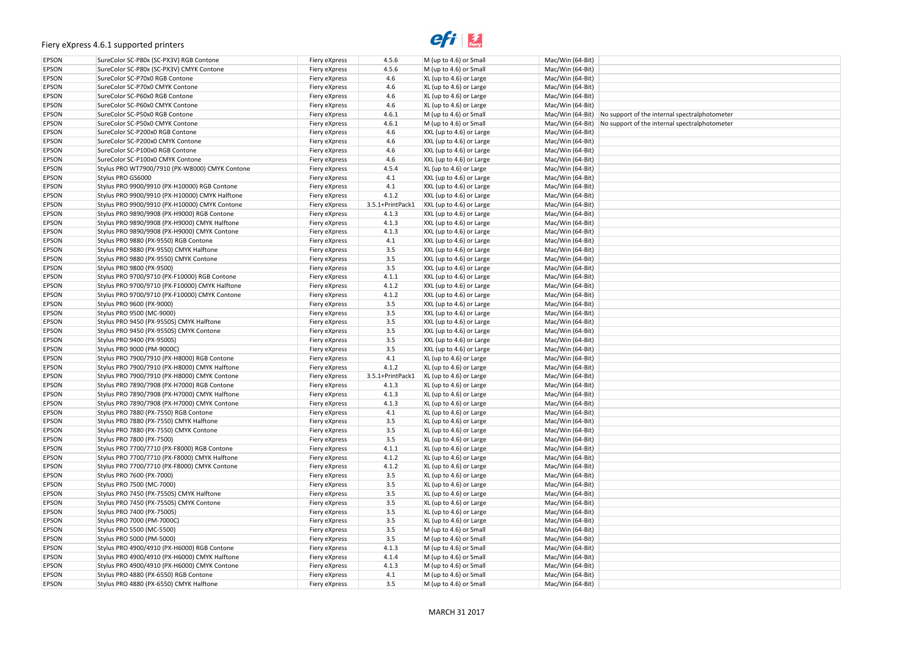# $e$ *fi*  $\frac{1}{\text{f}}$

| :ralphotometer<br>:ralphotometer |  |
|----------------------------------|--|
|                                  |  |
|                                  |  |
|                                  |  |
|                                  |  |
|                                  |  |
|                                  |  |
|                                  |  |
|                                  |  |
|                                  |  |
|                                  |  |
|                                  |  |
|                                  |  |
|                                  |  |
|                                  |  |
|                                  |  |
|                                  |  |
|                                  |  |
|                                  |  |
|                                  |  |
|                                  |  |
|                                  |  |
|                                  |  |
|                                  |  |
|                                  |  |
|                                  |  |
|                                  |  |
|                                  |  |
|                                  |  |
|                                  |  |
|                                  |  |
|                                  |  |
|                                  |  |
|                                  |  |
|                                  |  |
|                                  |  |
|                                  |  |
|                                  |  |
|                                  |  |
|                                  |  |
|                                  |  |
|                                  |  |
|                                  |  |
|                                  |  |
|                                  |  |
|                                  |  |
|                                  |  |
|                                  |  |
|                                  |  |
|                                  |  |
|                                  |  |
|                                  |  |
|                                  |  |
|                                  |  |
|                                  |  |
|                                  |  |
|                                  |  |

| <b>EPSON</b><br>SureColor SC-P80x (SC-PX3V) CMYK Contone<br>4.5.6<br>$M$ (up to 4.6) or Small<br>Mac/Win (64-Bit)<br>Fiery eXpress<br>4.6<br><b>EPSON</b><br>SureColor SC-P70x0 RGB Contone<br>XL (up to 4.6) or Large<br>Mac/Win (64-Bit)<br>Fiery eXpress<br>4.6<br><b>EPSON</b><br>SureColor SC-P70x0 CMYK Contone<br>XL (up to 4.6) or Large<br>Fiery eXpress<br>Mac/Win (64-Bit)<br>SureColor SC-P60x0 RGB Contone<br>4.6<br><b>EPSON</b><br>XL (up to 4.6) or Large<br>Mac/Win (64-Bit)<br>Fiery eXpress<br>EPSON<br>4.6<br>SureColor SC-P60x0 CMYK Contone<br>XL (up to 4.6) or Large<br>Mac/Win (64-Bit)<br>Fiery eXpress<br>EPSON<br>4.6.1<br>SureColor SC-P50x0 RGB Contone<br>M (up to 4.6) or Small<br>Mac/Win (64-Bit) No support of the internal spectral photometer<br>Fiery eXpress<br>EPSON<br>4.6.1<br>SureColor SC-P50x0 CMYK Contone<br>M (up to 4.6) or Small<br>Mac/Win (64-Bit) No support of the internal spectral photometer<br>Fiery eXpress<br>EPSON<br>SureColor SC-P200x0 RGB Contone<br>4.6<br>XXL (up to 4.6) or Large<br>Mac/Win (64-Bit)<br>Fiery eXpress<br>4.6<br>EPSON<br>SureColor SC-P200x0 CMYK Contone<br>Fiery eXpress<br>XXL (up to 4.6) or Large<br>Mac/Win (64-Bit)<br>4.6<br>EPSON<br>SureColor SC-P100x0 RGB Contone<br>XXL (up to 4.6) or Large<br>Fiery eXpress<br>Mac/Win (64-Bit)<br>EPSON<br>4.6<br>SureColor SC-P100x0 CMYK Contone<br>Fiery eXpress<br>XXL (up to 4.6) or Large<br>Mac/Win (64-Bit)<br>4.5.4<br>EPSON<br>Stylus PRO WT7900/7910 (PX-W8000) CMYK Contone<br>Fiery eXpress<br>$XL$ (up to 4.6) or Large<br>Mac/Win (64-Bit)<br>EPSON<br>Stylus PRO GS6000<br>4.1<br>Mac/Win (64-Bit)<br>Fiery eXpress<br>XXL (up to 4.6) or Large<br>4.1<br>EPSON<br>Stylus PRO 9900/9910 (PX-H10000) RGB Contone<br>XXL (up to 4.6) or Large<br>Fiery eXpress<br>Mac/Win (64-Bit)<br>4.1.2<br>EPSON<br>Stylus PRO 9900/9910 (PX-H10000) CMYK Halftone<br>XXL (up to 4.6) or Large<br>Mac/Win (64-Bit)<br>Fiery eXpress<br>EPSON<br>Stylus PRO 9900/9910 (PX-H10000) CMYK Contone<br>3.5.1+PrintPack1<br>XXL (up to 4.6) or Large<br>Fiery eXpress<br>Mac/Win (64-Bit)<br>EPSON<br>Stylus PRO 9890/9908 (PX-H9000) RGB Contone<br>4.1.3<br>Mac/Win (64-Bit)<br>Fiery eXpress<br>XXL (up to 4.6) or Large<br>EPSON<br>4.1.3<br>Stylus PRO 9890/9908 (PX-H9000) CMYK Halftone<br>XXL (up to 4.6) or Large<br>Mac/Win (64-Bit)<br>Fiery eXpress<br>4.1.3<br>EPSON<br>Stylus PRO 9890/9908 (PX-H9000) CMYK Contone<br>XXL (up to 4.6) or Large<br>Mac/Win (64-Bit)<br>Fiery eXpress<br>4.1<br><b>EPSON</b><br>Stylus PRO 9880 (PX-9550) RGB Contone<br>XXL (up to 4.6) or Large<br>Mac/Win (64-Bit)<br>Fiery eXpress<br>3.5<br><b>EPSON</b><br>Stylus PRO 9880 (PX-9550) CMYK Halftone<br>XXL (up to 4.6) or Large<br>Mac/Win (64-Bit)<br>Fiery eXpress<br>3.5<br>EPSON<br>Stylus PRO 9880 (PX-9550) CMYK Contone<br>Fiery eXpress<br>XXL (up to 4.6) or Large<br>Mac/Win (64-Bit)<br>3.5<br>EPSON<br>Stylus PRO 9800 (PX-9500)<br>XXL (up to 4.6) or Large<br>Fiery eXpress<br>Mac/Win (64-Bit)<br>4.1.1<br>EPSON<br>Stylus PRO 9700/9710 (PX-F10000) RGB Contone<br>XXL (up to 4.6) or Large<br>Mac/Win (64-Bit)<br>Fiery eXpress<br>4.1.2<br>EPSON<br>Stylus PRO 9700/9710 (PX-F10000) CMYK Halftone<br>XXL (up to 4.6) or Large<br>Mac/Win (64-Bit)<br>Fiery eXpress<br>4.1.2<br>EPSON<br>Stylus PRO 9700/9710 (PX-F10000) CMYK Contone<br>XXL (up to 4.6) or Large<br>Mac/Win (64-Bit)<br>Fiery eXpress<br>3.5<br><b>EPSON</b><br>Stylus PRO 9600 (PX-9000)<br>XXL (up to 4.6) or Large<br>Mac/Win (64-Bit)<br>Fiery eXpress<br>3.5<br><b>EPSON</b><br>XXL (up to 4.6) or Large<br>Stylus PRO 9500 (MC-9000)<br>Fiery eXpress<br>Mac/Win (64-Bit)<br>3.5<br><b>EPSON</b><br>Stylus PRO 9450 (PX-9550S) CMYK Halftone<br>XXL (up to 4.6) or Large<br>Mac/Win (64-Bit)<br>Fiery eXpress<br>EPSON<br>3.5<br>Stylus PRO 9450 (PX-9550S) CMYK Contone<br>XXL (up to 4.6) or Large<br>Mac/Win (64-Bit)<br>Fiery eXpress<br>3.5<br><b>EPSON</b><br>Stylus PRO 9400 (PX-9500S)<br>XXL (up to 4.6) or Large<br>Fiery eXpress<br>Mac/Win (64-Bit)<br>EPSON<br>3.5<br>Stylus PRO 9000 (PM-9000C)<br>XXL (up to 4.6) or Large<br>Mac/Win (64-Bit)<br>Fiery eXpress<br>4.1<br><b>EPSON</b><br>Stylus PRO 7900/7910 (PX-H8000) RGB Contone<br>XL (up to 4.6) or Large<br>Mac/Win (64-Bit)<br>Fiery eXpress<br>4.1.2<br><b>EPSON</b><br>Stylus PRO 7900/7910 (PX-H8000) CMYK Halftone<br>XL (up to 4.6) or Large<br>Mac/Win (64-Bit)<br>Fiery eXpress<br>EPSON<br>Stylus PRO 7900/7910 (PX-H8000) CMYK Contone<br>3.5.1+PrintPack1<br>Fiery eXpress<br>$ XL$ (up to 4.6) or Large<br>Mac/Win (64-Bit)<br>EPSON<br>Stylus PRO 7890/7908 (PX-H7000) RGB Contone<br>4.1.3<br>Fiery eXpress<br>$XL$ (up to 4.6) or Large<br>Mac/Win (64-Bit)<br>4.1.3<br><b>EPSON</b><br>Stylus PRO 7890/7908 (PX-H7000) CMYK Halftone<br>Mac/Win (64-Bit)<br>Fiery eXpress<br>$XL$ (up to 4.6) or Large<br>EPSON<br>Mac/Win (64-Bit)<br>Stylus PRO 7890/7908 (PX-H7000) CMYK Contone<br>4.1.3<br>XL (up to 4.6) or Large<br>Fiery eXpress<br>4.1<br>EPSON<br>Stylus PRO 7880 (PX-7550) RGB Contone<br>Fiery eXpress<br>$XL$ (up to 4.6) or Large<br>Mac/Win (64-Bit)<br>3.5<br>EPSON<br>Stylus PRO 7880 (PX-7550) CMYK Halftone<br>XL (up to 4.6) or Large<br>Mac/Win (64-Bit)<br>Fiery eXpress<br>3.5<br>EPSON<br>Stylus PRO 7880 (PX-7550) CMYK Contone<br>Fiery eXpress<br>$XL$ (up to 4.6) or Large<br>Mac/Win (64-Bit)<br>3.5<br>EPSON<br>Stylus PRO 7800 (PX-7500)<br>XL (up to 4.6) or Large<br>Mac/Win (64-Bit)<br>Fiery eXpress<br>EPSON<br>Stylus PRO 7700/7710 (PX-F8000) RGB Contone<br>4.1.1<br>XL (up to 4.6) or Large<br>Mac/Win (64-Bit)<br>Fiery eXpress<br>4.1.2<br>EPSON<br>Stylus PRO 7700/7710 (PX-F8000) CMYK Halftone<br>XL (up to 4.6) or Large<br>Mac/Win (64-Bit)<br>Fiery eXpress<br>4.1.2<br>EPSON<br>Stylus PRO 7700/7710 (PX-F8000) CMYK Contone<br>XL (up to 4.6) or Large<br>Mac/Win (64-Bit)<br>Fiery eXpress<br>3.5<br>EPSON<br>Stylus PRO 7600 (PX-7000)<br>Fiery eXpress<br>XL (up to 4.6) or Large<br>Mac/Win (64-Bit)<br>3.5<br>EPSON<br>Stylus PRO 7500 (MC-7000)<br>Fiery eXpress<br>$XL$ (up to 4.6) or Large<br>Mac/Win (64-Bit)<br>3.5<br>EPSON<br>Stylus PRO 7450 (PX-7550S) CMYK Halftone<br>XL (up to 4.6) or Large<br>Mac/Win (64-Bit)<br>Fiery eXpress<br>EPSON<br>3.5<br>Stylus PRO 7450 (PX-7550S) CMYK Contone<br>XL (up to 4.6) or Large<br>Mac/Win (64-Bit)<br>Fiery eXpress<br>3.5<br>EPSON<br>Stylus PRO 7400 (PX-7500S)<br>XL (up to 4.6) or Large<br>Mac/Win (64-Bit)<br>Fiery eXpress<br>EPSON<br>3.5<br>Stylus PRO 7000 (PM-7000C)<br>Fiery eXpress<br>XL (up to 4.6) or Large<br>Mac/Win (64-Bit)<br>3.5<br><b>EPSON</b><br>Stylus PRO 5500 (MC-5500)<br>Fiery eXpress<br>M (up to 4.6) or Small<br>Mac/Win (64-Bit)<br>3.5<br><b>EPSON</b><br>Stylus PRO 5000 (PM-5000)<br>Fiery eXpress<br>$M$ (up to 4.6) or Small<br>Mac/Win (64-Bit)<br><b>EPSON</b><br>Stylus PRO 4900/4910 (PX-H6000) RGB Contone<br>4.1.3<br>$M$ (up to 4.6) or Small<br>Mac/Win (64-Bit)<br>Fiery eXpress<br>EPSON<br>Stylus PRO 4900/4910 (PX-H6000) CMYK Halftone<br>4.1.4<br>M (up to 4.6) or Small<br>Mac/Win (64-Bit)<br>Fiery eXpress<br>EPSON<br>4.1.3<br>Stylus PRO 4900/4910 (PX-H6000) CMYK Contone<br>M (up to 4.6) or Small<br>Mac/Win (64-Bit)<br>Fiery eXpress<br>EPSON<br>4.1<br>Stylus PRO 4880 (PX-6550) RGB Contone<br>Fiery eXpress<br>$M$ (up to 4.6) or Small<br>Mac/Win (64-Bit) | EPSON        | SureColor SC-P80x (SC-PX3V) RGB Contone | Fiery eXpress | 4.5.6 | M (up to 4.6) or Small | Mac/Win (64-Bit) |  |
|---------------------------------------------------------------------------------------------------------------------------------------------------------------------------------------------------------------------------------------------------------------------------------------------------------------------------------------------------------------------------------------------------------------------------------------------------------------------------------------------------------------------------------------------------------------------------------------------------------------------------------------------------------------------------------------------------------------------------------------------------------------------------------------------------------------------------------------------------------------------------------------------------------------------------------------------------------------------------------------------------------------------------------------------------------------------------------------------------------------------------------------------------------------------------------------------------------------------------------------------------------------------------------------------------------------------------------------------------------------------------------------------------------------------------------------------------------------------------------------------------------------------------------------------------------------------------------------------------------------------------------------------------------------------------------------------------------------------------------------------------------------------------------------------------------------------------------------------------------------------------------------------------------------------------------------------------------------------------------------------------------------------------------------------------------------------------------------------------------------------------------------------------------------------------------------------------------------------------------------------------------------------------------------------------------------------------------------------------------------------------------------------------------------------------------------------------------------------------------------------------------------------------------------------------------------------------------------------------------------------------------------------------------------------------------------------------------------------------------------------------------------------------------------------------------------------------------------------------------------------------------------------------------------------------------------------------------------------------------------------------------------------------------------------------------------------------------------------------------------------------------------------------------------------------------------------------------------------------------------------------------------------------------------------------------------------------------------------------------------------------------------------------------------------------------------------------------------------------------------------------------------------------------------------------------------------------------------------------------------------------------------------------------------------------------------------------------------------------------------------------------------------------------------------------------------------------------------------------------------------------------------------------------------------------------------------------------------------------------------------------------------------------------------------------------------------------------------------------------------------------------------------------------------------------------------------------------------------------------------------------------------------------------------------------------------------------------------------------------------------------------------------------------------------------------------------------------------------------------------------------------------------------------------------------------------------------------------------------------------------------------------------------------------------------------------------------------------------------------------------------------------------------------------------------------------------------------------------------------------------------------------------------------------------------------------------------------------------------------------------------------------------------------------------------------------------------------------------------------------------------------------------------------------------------------------------------------------------------------------------------------------------------------------------------------------------------------------------------------------------------------------------------------------------------------------------------------------------------------------------------------------------------------------------------------------------------------------------------------------------------------------------------------------------------------------------------------------------------------------------------------------------------------------------------------------------------------------------------------------------------------------------------------------------------------------------------------------------------------------------------------------------------------------------------------------------------------------------------------------------------------------------------------------------------------------------------------------------------------------------------------------------------------------------------------------------------------------------------------------------------------------------------------------------------------------------------------------------------------------------------------------------------------------------------------------------------------------------------------------------------------------------------------------------------------------------------------------------------------------------------------------------------------------------------------------------------------------------------------------------------------------------------------------------------------------------------------------------------------------------------------------------------------------------------------------------------------------------------------------------------------------------------------------------------------------------------------------------------------------------------------------------------------------------------------------------------------------------------------------------------------------------------------------------------------------------------------------|--------------|-----------------------------------------|---------------|-------|------------------------|------------------|--|
|                                                                                                                                                                                                                                                                                                                                                                                                                                                                                                                                                                                                                                                                                                                                                                                                                                                                                                                                                                                                                                                                                                                                                                                                                                                                                                                                                                                                                                                                                                                                                                                                                                                                                                                                                                                                                                                                                                                                                                                                                                                                                                                                                                                                                                                                                                                                                                                                                                                                                                                                                                                                                                                                                                                                                                                                                                                                                                                                                                                                                                                                                                                                                                                                                                                                                                                                                                                                                                                                                                                                                                                                                                                                                                                                                                                                                                                                                                                                                                                                                                                                                                                                                                                                                                                                                                                                                                                                                                                                                                                                                                                                                                                                                                                                                                                                                                                                                                                                                                                                                                                                                                                                                                                                                                                                                                                                                                                                                                                                                                                                                                                                                                                                                                                                                                                                                                                                                                                                                                                                                                                                                                                                                                                                                                                                                                                                                                                                                                                                                                                                                                                                                                                                                                                                                                                                                                                                                                                                                                                                                                                                                                                                                                                                                                                                                                                                                                                                                                                               |              |                                         |               |       |                        |                  |  |
|                                                                                                                                                                                                                                                                                                                                                                                                                                                                                                                                                                                                                                                                                                                                                                                                                                                                                                                                                                                                                                                                                                                                                                                                                                                                                                                                                                                                                                                                                                                                                                                                                                                                                                                                                                                                                                                                                                                                                                                                                                                                                                                                                                                                                                                                                                                                                                                                                                                                                                                                                                                                                                                                                                                                                                                                                                                                                                                                                                                                                                                                                                                                                                                                                                                                                                                                                                                                                                                                                                                                                                                                                                                                                                                                                                                                                                                                                                                                                                                                                                                                                                                                                                                                                                                                                                                                                                                                                                                                                                                                                                                                                                                                                                                                                                                                                                                                                                                                                                                                                                                                                                                                                                                                                                                                                                                                                                                                                                                                                                                                                                                                                                                                                                                                                                                                                                                                                                                                                                                                                                                                                                                                                                                                                                                                                                                                                                                                                                                                                                                                                                                                                                                                                                                                                                                                                                                                                                                                                                                                                                                                                                                                                                                                                                                                                                                                                                                                                                                               |              |                                         |               |       |                        |                  |  |
|                                                                                                                                                                                                                                                                                                                                                                                                                                                                                                                                                                                                                                                                                                                                                                                                                                                                                                                                                                                                                                                                                                                                                                                                                                                                                                                                                                                                                                                                                                                                                                                                                                                                                                                                                                                                                                                                                                                                                                                                                                                                                                                                                                                                                                                                                                                                                                                                                                                                                                                                                                                                                                                                                                                                                                                                                                                                                                                                                                                                                                                                                                                                                                                                                                                                                                                                                                                                                                                                                                                                                                                                                                                                                                                                                                                                                                                                                                                                                                                                                                                                                                                                                                                                                                                                                                                                                                                                                                                                                                                                                                                                                                                                                                                                                                                                                                                                                                                                                                                                                                                                                                                                                                                                                                                                                                                                                                                                                                                                                                                                                                                                                                                                                                                                                                                                                                                                                                                                                                                                                                                                                                                                                                                                                                                                                                                                                                                                                                                                                                                                                                                                                                                                                                                                                                                                                                                                                                                                                                                                                                                                                                                                                                                                                                                                                                                                                                                                                                                               |              |                                         |               |       |                        |                  |  |
|                                                                                                                                                                                                                                                                                                                                                                                                                                                                                                                                                                                                                                                                                                                                                                                                                                                                                                                                                                                                                                                                                                                                                                                                                                                                                                                                                                                                                                                                                                                                                                                                                                                                                                                                                                                                                                                                                                                                                                                                                                                                                                                                                                                                                                                                                                                                                                                                                                                                                                                                                                                                                                                                                                                                                                                                                                                                                                                                                                                                                                                                                                                                                                                                                                                                                                                                                                                                                                                                                                                                                                                                                                                                                                                                                                                                                                                                                                                                                                                                                                                                                                                                                                                                                                                                                                                                                                                                                                                                                                                                                                                                                                                                                                                                                                                                                                                                                                                                                                                                                                                                                                                                                                                                                                                                                                                                                                                                                                                                                                                                                                                                                                                                                                                                                                                                                                                                                                                                                                                                                                                                                                                                                                                                                                                                                                                                                                                                                                                                                                                                                                                                                                                                                                                                                                                                                                                                                                                                                                                                                                                                                                                                                                                                                                                                                                                                                                                                                                                               |              |                                         |               |       |                        |                  |  |
|                                                                                                                                                                                                                                                                                                                                                                                                                                                                                                                                                                                                                                                                                                                                                                                                                                                                                                                                                                                                                                                                                                                                                                                                                                                                                                                                                                                                                                                                                                                                                                                                                                                                                                                                                                                                                                                                                                                                                                                                                                                                                                                                                                                                                                                                                                                                                                                                                                                                                                                                                                                                                                                                                                                                                                                                                                                                                                                                                                                                                                                                                                                                                                                                                                                                                                                                                                                                                                                                                                                                                                                                                                                                                                                                                                                                                                                                                                                                                                                                                                                                                                                                                                                                                                                                                                                                                                                                                                                                                                                                                                                                                                                                                                                                                                                                                                                                                                                                                                                                                                                                                                                                                                                                                                                                                                                                                                                                                                                                                                                                                                                                                                                                                                                                                                                                                                                                                                                                                                                                                                                                                                                                                                                                                                                                                                                                                                                                                                                                                                                                                                                                                                                                                                                                                                                                                                                                                                                                                                                                                                                                                                                                                                                                                                                                                                                                                                                                                                                               |              |                                         |               |       |                        |                  |  |
|                                                                                                                                                                                                                                                                                                                                                                                                                                                                                                                                                                                                                                                                                                                                                                                                                                                                                                                                                                                                                                                                                                                                                                                                                                                                                                                                                                                                                                                                                                                                                                                                                                                                                                                                                                                                                                                                                                                                                                                                                                                                                                                                                                                                                                                                                                                                                                                                                                                                                                                                                                                                                                                                                                                                                                                                                                                                                                                                                                                                                                                                                                                                                                                                                                                                                                                                                                                                                                                                                                                                                                                                                                                                                                                                                                                                                                                                                                                                                                                                                                                                                                                                                                                                                                                                                                                                                                                                                                                                                                                                                                                                                                                                                                                                                                                                                                                                                                                                                                                                                                                                                                                                                                                                                                                                                                                                                                                                                                                                                                                                                                                                                                                                                                                                                                                                                                                                                                                                                                                                                                                                                                                                                                                                                                                                                                                                                                                                                                                                                                                                                                                                                                                                                                                                                                                                                                                                                                                                                                                                                                                                                                                                                                                                                                                                                                                                                                                                                                                               |              |                                         |               |       |                        |                  |  |
|                                                                                                                                                                                                                                                                                                                                                                                                                                                                                                                                                                                                                                                                                                                                                                                                                                                                                                                                                                                                                                                                                                                                                                                                                                                                                                                                                                                                                                                                                                                                                                                                                                                                                                                                                                                                                                                                                                                                                                                                                                                                                                                                                                                                                                                                                                                                                                                                                                                                                                                                                                                                                                                                                                                                                                                                                                                                                                                                                                                                                                                                                                                                                                                                                                                                                                                                                                                                                                                                                                                                                                                                                                                                                                                                                                                                                                                                                                                                                                                                                                                                                                                                                                                                                                                                                                                                                                                                                                                                                                                                                                                                                                                                                                                                                                                                                                                                                                                                                                                                                                                                                                                                                                                                                                                                                                                                                                                                                                                                                                                                                                                                                                                                                                                                                                                                                                                                                                                                                                                                                                                                                                                                                                                                                                                                                                                                                                                                                                                                                                                                                                                                                                                                                                                                                                                                                                                                                                                                                                                                                                                                                                                                                                                                                                                                                                                                                                                                                                                               |              |                                         |               |       |                        |                  |  |
|                                                                                                                                                                                                                                                                                                                                                                                                                                                                                                                                                                                                                                                                                                                                                                                                                                                                                                                                                                                                                                                                                                                                                                                                                                                                                                                                                                                                                                                                                                                                                                                                                                                                                                                                                                                                                                                                                                                                                                                                                                                                                                                                                                                                                                                                                                                                                                                                                                                                                                                                                                                                                                                                                                                                                                                                                                                                                                                                                                                                                                                                                                                                                                                                                                                                                                                                                                                                                                                                                                                                                                                                                                                                                                                                                                                                                                                                                                                                                                                                                                                                                                                                                                                                                                                                                                                                                                                                                                                                                                                                                                                                                                                                                                                                                                                                                                                                                                                                                                                                                                                                                                                                                                                                                                                                                                                                                                                                                                                                                                                                                                                                                                                                                                                                                                                                                                                                                                                                                                                                                                                                                                                                                                                                                                                                                                                                                                                                                                                                                                                                                                                                                                                                                                                                                                                                                                                                                                                                                                                                                                                                                                                                                                                                                                                                                                                                                                                                                                                               |              |                                         |               |       |                        |                  |  |
|                                                                                                                                                                                                                                                                                                                                                                                                                                                                                                                                                                                                                                                                                                                                                                                                                                                                                                                                                                                                                                                                                                                                                                                                                                                                                                                                                                                                                                                                                                                                                                                                                                                                                                                                                                                                                                                                                                                                                                                                                                                                                                                                                                                                                                                                                                                                                                                                                                                                                                                                                                                                                                                                                                                                                                                                                                                                                                                                                                                                                                                                                                                                                                                                                                                                                                                                                                                                                                                                                                                                                                                                                                                                                                                                                                                                                                                                                                                                                                                                                                                                                                                                                                                                                                                                                                                                                                                                                                                                                                                                                                                                                                                                                                                                                                                                                                                                                                                                                                                                                                                                                                                                                                                                                                                                                                                                                                                                                                                                                                                                                                                                                                                                                                                                                                                                                                                                                                                                                                                                                                                                                                                                                                                                                                                                                                                                                                                                                                                                                                                                                                                                                                                                                                                                                                                                                                                                                                                                                                                                                                                                                                                                                                                                                                                                                                                                                                                                                                                               |              |                                         |               |       |                        |                  |  |
|                                                                                                                                                                                                                                                                                                                                                                                                                                                                                                                                                                                                                                                                                                                                                                                                                                                                                                                                                                                                                                                                                                                                                                                                                                                                                                                                                                                                                                                                                                                                                                                                                                                                                                                                                                                                                                                                                                                                                                                                                                                                                                                                                                                                                                                                                                                                                                                                                                                                                                                                                                                                                                                                                                                                                                                                                                                                                                                                                                                                                                                                                                                                                                                                                                                                                                                                                                                                                                                                                                                                                                                                                                                                                                                                                                                                                                                                                                                                                                                                                                                                                                                                                                                                                                                                                                                                                                                                                                                                                                                                                                                                                                                                                                                                                                                                                                                                                                                                                                                                                                                                                                                                                                                                                                                                                                                                                                                                                                                                                                                                                                                                                                                                                                                                                                                                                                                                                                                                                                                                                                                                                                                                                                                                                                                                                                                                                                                                                                                                                                                                                                                                                                                                                                                                                                                                                                                                                                                                                                                                                                                                                                                                                                                                                                                                                                                                                                                                                                                               |              |                                         |               |       |                        |                  |  |
|                                                                                                                                                                                                                                                                                                                                                                                                                                                                                                                                                                                                                                                                                                                                                                                                                                                                                                                                                                                                                                                                                                                                                                                                                                                                                                                                                                                                                                                                                                                                                                                                                                                                                                                                                                                                                                                                                                                                                                                                                                                                                                                                                                                                                                                                                                                                                                                                                                                                                                                                                                                                                                                                                                                                                                                                                                                                                                                                                                                                                                                                                                                                                                                                                                                                                                                                                                                                                                                                                                                                                                                                                                                                                                                                                                                                                                                                                                                                                                                                                                                                                                                                                                                                                                                                                                                                                                                                                                                                                                                                                                                                                                                                                                                                                                                                                                                                                                                                                                                                                                                                                                                                                                                                                                                                                                                                                                                                                                                                                                                                                                                                                                                                                                                                                                                                                                                                                                                                                                                                                                                                                                                                                                                                                                                                                                                                                                                                                                                                                                                                                                                                                                                                                                                                                                                                                                                                                                                                                                                                                                                                                                                                                                                                                                                                                                                                                                                                                                                               |              |                                         |               |       |                        |                  |  |
|                                                                                                                                                                                                                                                                                                                                                                                                                                                                                                                                                                                                                                                                                                                                                                                                                                                                                                                                                                                                                                                                                                                                                                                                                                                                                                                                                                                                                                                                                                                                                                                                                                                                                                                                                                                                                                                                                                                                                                                                                                                                                                                                                                                                                                                                                                                                                                                                                                                                                                                                                                                                                                                                                                                                                                                                                                                                                                                                                                                                                                                                                                                                                                                                                                                                                                                                                                                                                                                                                                                                                                                                                                                                                                                                                                                                                                                                                                                                                                                                                                                                                                                                                                                                                                                                                                                                                                                                                                                                                                                                                                                                                                                                                                                                                                                                                                                                                                                                                                                                                                                                                                                                                                                                                                                                                                                                                                                                                                                                                                                                                                                                                                                                                                                                                                                                                                                                                                                                                                                                                                                                                                                                                                                                                                                                                                                                                                                                                                                                                                                                                                                                                                                                                                                                                                                                                                                                                                                                                                                                                                                                                                                                                                                                                                                                                                                                                                                                                                                               |              |                                         |               |       |                        |                  |  |
|                                                                                                                                                                                                                                                                                                                                                                                                                                                                                                                                                                                                                                                                                                                                                                                                                                                                                                                                                                                                                                                                                                                                                                                                                                                                                                                                                                                                                                                                                                                                                                                                                                                                                                                                                                                                                                                                                                                                                                                                                                                                                                                                                                                                                                                                                                                                                                                                                                                                                                                                                                                                                                                                                                                                                                                                                                                                                                                                                                                                                                                                                                                                                                                                                                                                                                                                                                                                                                                                                                                                                                                                                                                                                                                                                                                                                                                                                                                                                                                                                                                                                                                                                                                                                                                                                                                                                                                                                                                                                                                                                                                                                                                                                                                                                                                                                                                                                                                                                                                                                                                                                                                                                                                                                                                                                                                                                                                                                                                                                                                                                                                                                                                                                                                                                                                                                                                                                                                                                                                                                                                                                                                                                                                                                                                                                                                                                                                                                                                                                                                                                                                                                                                                                                                                                                                                                                                                                                                                                                                                                                                                                                                                                                                                                                                                                                                                                                                                                                                               |              |                                         |               |       |                        |                  |  |
|                                                                                                                                                                                                                                                                                                                                                                                                                                                                                                                                                                                                                                                                                                                                                                                                                                                                                                                                                                                                                                                                                                                                                                                                                                                                                                                                                                                                                                                                                                                                                                                                                                                                                                                                                                                                                                                                                                                                                                                                                                                                                                                                                                                                                                                                                                                                                                                                                                                                                                                                                                                                                                                                                                                                                                                                                                                                                                                                                                                                                                                                                                                                                                                                                                                                                                                                                                                                                                                                                                                                                                                                                                                                                                                                                                                                                                                                                                                                                                                                                                                                                                                                                                                                                                                                                                                                                                                                                                                                                                                                                                                                                                                                                                                                                                                                                                                                                                                                                                                                                                                                                                                                                                                                                                                                                                                                                                                                                                                                                                                                                                                                                                                                                                                                                                                                                                                                                                                                                                                                                                                                                                                                                                                                                                                                                                                                                                                                                                                                                                                                                                                                                                                                                                                                                                                                                                                                                                                                                                                                                                                                                                                                                                                                                                                                                                                                                                                                                                                               |              |                                         |               |       |                        |                  |  |
|                                                                                                                                                                                                                                                                                                                                                                                                                                                                                                                                                                                                                                                                                                                                                                                                                                                                                                                                                                                                                                                                                                                                                                                                                                                                                                                                                                                                                                                                                                                                                                                                                                                                                                                                                                                                                                                                                                                                                                                                                                                                                                                                                                                                                                                                                                                                                                                                                                                                                                                                                                                                                                                                                                                                                                                                                                                                                                                                                                                                                                                                                                                                                                                                                                                                                                                                                                                                                                                                                                                                                                                                                                                                                                                                                                                                                                                                                                                                                                                                                                                                                                                                                                                                                                                                                                                                                                                                                                                                                                                                                                                                                                                                                                                                                                                                                                                                                                                                                                                                                                                                                                                                                                                                                                                                                                                                                                                                                                                                                                                                                                                                                                                                                                                                                                                                                                                                                                                                                                                                                                                                                                                                                                                                                                                                                                                                                                                                                                                                                                                                                                                                                                                                                                                                                                                                                                                                                                                                                                                                                                                                                                                                                                                                                                                                                                                                                                                                                                                               |              |                                         |               |       |                        |                  |  |
|                                                                                                                                                                                                                                                                                                                                                                                                                                                                                                                                                                                                                                                                                                                                                                                                                                                                                                                                                                                                                                                                                                                                                                                                                                                                                                                                                                                                                                                                                                                                                                                                                                                                                                                                                                                                                                                                                                                                                                                                                                                                                                                                                                                                                                                                                                                                                                                                                                                                                                                                                                                                                                                                                                                                                                                                                                                                                                                                                                                                                                                                                                                                                                                                                                                                                                                                                                                                                                                                                                                                                                                                                                                                                                                                                                                                                                                                                                                                                                                                                                                                                                                                                                                                                                                                                                                                                                                                                                                                                                                                                                                                                                                                                                                                                                                                                                                                                                                                                                                                                                                                                                                                                                                                                                                                                                                                                                                                                                                                                                                                                                                                                                                                                                                                                                                                                                                                                                                                                                                                                                                                                                                                                                                                                                                                                                                                                                                                                                                                                                                                                                                                                                                                                                                                                                                                                                                                                                                                                                                                                                                                                                                                                                                                                                                                                                                                                                                                                                                               |              |                                         |               |       |                        |                  |  |
|                                                                                                                                                                                                                                                                                                                                                                                                                                                                                                                                                                                                                                                                                                                                                                                                                                                                                                                                                                                                                                                                                                                                                                                                                                                                                                                                                                                                                                                                                                                                                                                                                                                                                                                                                                                                                                                                                                                                                                                                                                                                                                                                                                                                                                                                                                                                                                                                                                                                                                                                                                                                                                                                                                                                                                                                                                                                                                                                                                                                                                                                                                                                                                                                                                                                                                                                                                                                                                                                                                                                                                                                                                                                                                                                                                                                                                                                                                                                                                                                                                                                                                                                                                                                                                                                                                                                                                                                                                                                                                                                                                                                                                                                                                                                                                                                                                                                                                                                                                                                                                                                                                                                                                                                                                                                                                                                                                                                                                                                                                                                                                                                                                                                                                                                                                                                                                                                                                                                                                                                                                                                                                                                                                                                                                                                                                                                                                                                                                                                                                                                                                                                                                                                                                                                                                                                                                                                                                                                                                                                                                                                                                                                                                                                                                                                                                                                                                                                                                                               |              |                                         |               |       |                        |                  |  |
|                                                                                                                                                                                                                                                                                                                                                                                                                                                                                                                                                                                                                                                                                                                                                                                                                                                                                                                                                                                                                                                                                                                                                                                                                                                                                                                                                                                                                                                                                                                                                                                                                                                                                                                                                                                                                                                                                                                                                                                                                                                                                                                                                                                                                                                                                                                                                                                                                                                                                                                                                                                                                                                                                                                                                                                                                                                                                                                                                                                                                                                                                                                                                                                                                                                                                                                                                                                                                                                                                                                                                                                                                                                                                                                                                                                                                                                                                                                                                                                                                                                                                                                                                                                                                                                                                                                                                                                                                                                                                                                                                                                                                                                                                                                                                                                                                                                                                                                                                                                                                                                                                                                                                                                                                                                                                                                                                                                                                                                                                                                                                                                                                                                                                                                                                                                                                                                                                                                                                                                                                                                                                                                                                                                                                                                                                                                                                                                                                                                                                                                                                                                                                                                                                                                                                                                                                                                                                                                                                                                                                                                                                                                                                                                                                                                                                                                                                                                                                                                               |              |                                         |               |       |                        |                  |  |
|                                                                                                                                                                                                                                                                                                                                                                                                                                                                                                                                                                                                                                                                                                                                                                                                                                                                                                                                                                                                                                                                                                                                                                                                                                                                                                                                                                                                                                                                                                                                                                                                                                                                                                                                                                                                                                                                                                                                                                                                                                                                                                                                                                                                                                                                                                                                                                                                                                                                                                                                                                                                                                                                                                                                                                                                                                                                                                                                                                                                                                                                                                                                                                                                                                                                                                                                                                                                                                                                                                                                                                                                                                                                                                                                                                                                                                                                                                                                                                                                                                                                                                                                                                                                                                                                                                                                                                                                                                                                                                                                                                                                                                                                                                                                                                                                                                                                                                                                                                                                                                                                                                                                                                                                                                                                                                                                                                                                                                                                                                                                                                                                                                                                                                                                                                                                                                                                                                                                                                                                                                                                                                                                                                                                                                                                                                                                                                                                                                                                                                                                                                                                                                                                                                                                                                                                                                                                                                                                                                                                                                                                                                                                                                                                                                                                                                                                                                                                                                                               |              |                                         |               |       |                        |                  |  |
|                                                                                                                                                                                                                                                                                                                                                                                                                                                                                                                                                                                                                                                                                                                                                                                                                                                                                                                                                                                                                                                                                                                                                                                                                                                                                                                                                                                                                                                                                                                                                                                                                                                                                                                                                                                                                                                                                                                                                                                                                                                                                                                                                                                                                                                                                                                                                                                                                                                                                                                                                                                                                                                                                                                                                                                                                                                                                                                                                                                                                                                                                                                                                                                                                                                                                                                                                                                                                                                                                                                                                                                                                                                                                                                                                                                                                                                                                                                                                                                                                                                                                                                                                                                                                                                                                                                                                                                                                                                                                                                                                                                                                                                                                                                                                                                                                                                                                                                                                                                                                                                                                                                                                                                                                                                                                                                                                                                                                                                                                                                                                                                                                                                                                                                                                                                                                                                                                                                                                                                                                                                                                                                                                                                                                                                                                                                                                                                                                                                                                                                                                                                                                                                                                                                                                                                                                                                                                                                                                                                                                                                                                                                                                                                                                                                                                                                                                                                                                                                               |              |                                         |               |       |                        |                  |  |
|                                                                                                                                                                                                                                                                                                                                                                                                                                                                                                                                                                                                                                                                                                                                                                                                                                                                                                                                                                                                                                                                                                                                                                                                                                                                                                                                                                                                                                                                                                                                                                                                                                                                                                                                                                                                                                                                                                                                                                                                                                                                                                                                                                                                                                                                                                                                                                                                                                                                                                                                                                                                                                                                                                                                                                                                                                                                                                                                                                                                                                                                                                                                                                                                                                                                                                                                                                                                                                                                                                                                                                                                                                                                                                                                                                                                                                                                                                                                                                                                                                                                                                                                                                                                                                                                                                                                                                                                                                                                                                                                                                                                                                                                                                                                                                                                                                                                                                                                                                                                                                                                                                                                                                                                                                                                                                                                                                                                                                                                                                                                                                                                                                                                                                                                                                                                                                                                                                                                                                                                                                                                                                                                                                                                                                                                                                                                                                                                                                                                                                                                                                                                                                                                                                                                                                                                                                                                                                                                                                                                                                                                                                                                                                                                                                                                                                                                                                                                                                                               |              |                                         |               |       |                        |                  |  |
|                                                                                                                                                                                                                                                                                                                                                                                                                                                                                                                                                                                                                                                                                                                                                                                                                                                                                                                                                                                                                                                                                                                                                                                                                                                                                                                                                                                                                                                                                                                                                                                                                                                                                                                                                                                                                                                                                                                                                                                                                                                                                                                                                                                                                                                                                                                                                                                                                                                                                                                                                                                                                                                                                                                                                                                                                                                                                                                                                                                                                                                                                                                                                                                                                                                                                                                                                                                                                                                                                                                                                                                                                                                                                                                                                                                                                                                                                                                                                                                                                                                                                                                                                                                                                                                                                                                                                                                                                                                                                                                                                                                                                                                                                                                                                                                                                                                                                                                                                                                                                                                                                                                                                                                                                                                                                                                                                                                                                                                                                                                                                                                                                                                                                                                                                                                                                                                                                                                                                                                                                                                                                                                                                                                                                                                                                                                                                                                                                                                                                                                                                                                                                                                                                                                                                                                                                                                                                                                                                                                                                                                                                                                                                                                                                                                                                                                                                                                                                                                               |              |                                         |               |       |                        |                  |  |
|                                                                                                                                                                                                                                                                                                                                                                                                                                                                                                                                                                                                                                                                                                                                                                                                                                                                                                                                                                                                                                                                                                                                                                                                                                                                                                                                                                                                                                                                                                                                                                                                                                                                                                                                                                                                                                                                                                                                                                                                                                                                                                                                                                                                                                                                                                                                                                                                                                                                                                                                                                                                                                                                                                                                                                                                                                                                                                                                                                                                                                                                                                                                                                                                                                                                                                                                                                                                                                                                                                                                                                                                                                                                                                                                                                                                                                                                                                                                                                                                                                                                                                                                                                                                                                                                                                                                                                                                                                                                                                                                                                                                                                                                                                                                                                                                                                                                                                                                                                                                                                                                                                                                                                                                                                                                                                                                                                                                                                                                                                                                                                                                                                                                                                                                                                                                                                                                                                                                                                                                                                                                                                                                                                                                                                                                                                                                                                                                                                                                                                                                                                                                                                                                                                                                                                                                                                                                                                                                                                                                                                                                                                                                                                                                                                                                                                                                                                                                                                                               |              |                                         |               |       |                        |                  |  |
|                                                                                                                                                                                                                                                                                                                                                                                                                                                                                                                                                                                                                                                                                                                                                                                                                                                                                                                                                                                                                                                                                                                                                                                                                                                                                                                                                                                                                                                                                                                                                                                                                                                                                                                                                                                                                                                                                                                                                                                                                                                                                                                                                                                                                                                                                                                                                                                                                                                                                                                                                                                                                                                                                                                                                                                                                                                                                                                                                                                                                                                                                                                                                                                                                                                                                                                                                                                                                                                                                                                                                                                                                                                                                                                                                                                                                                                                                                                                                                                                                                                                                                                                                                                                                                                                                                                                                                                                                                                                                                                                                                                                                                                                                                                                                                                                                                                                                                                                                                                                                                                                                                                                                                                                                                                                                                                                                                                                                                                                                                                                                                                                                                                                                                                                                                                                                                                                                                                                                                                                                                                                                                                                                                                                                                                                                                                                                                                                                                                                                                                                                                                                                                                                                                                                                                                                                                                                                                                                                                                                                                                                                                                                                                                                                                                                                                                                                                                                                                                               |              |                                         |               |       |                        |                  |  |
|                                                                                                                                                                                                                                                                                                                                                                                                                                                                                                                                                                                                                                                                                                                                                                                                                                                                                                                                                                                                                                                                                                                                                                                                                                                                                                                                                                                                                                                                                                                                                                                                                                                                                                                                                                                                                                                                                                                                                                                                                                                                                                                                                                                                                                                                                                                                                                                                                                                                                                                                                                                                                                                                                                                                                                                                                                                                                                                                                                                                                                                                                                                                                                                                                                                                                                                                                                                                                                                                                                                                                                                                                                                                                                                                                                                                                                                                                                                                                                                                                                                                                                                                                                                                                                                                                                                                                                                                                                                                                                                                                                                                                                                                                                                                                                                                                                                                                                                                                                                                                                                                                                                                                                                                                                                                                                                                                                                                                                                                                                                                                                                                                                                                                                                                                                                                                                                                                                                                                                                                                                                                                                                                                                                                                                                                                                                                                                                                                                                                                                                                                                                                                                                                                                                                                                                                                                                                                                                                                                                                                                                                                                                                                                                                                                                                                                                                                                                                                                                               |              |                                         |               |       |                        |                  |  |
|                                                                                                                                                                                                                                                                                                                                                                                                                                                                                                                                                                                                                                                                                                                                                                                                                                                                                                                                                                                                                                                                                                                                                                                                                                                                                                                                                                                                                                                                                                                                                                                                                                                                                                                                                                                                                                                                                                                                                                                                                                                                                                                                                                                                                                                                                                                                                                                                                                                                                                                                                                                                                                                                                                                                                                                                                                                                                                                                                                                                                                                                                                                                                                                                                                                                                                                                                                                                                                                                                                                                                                                                                                                                                                                                                                                                                                                                                                                                                                                                                                                                                                                                                                                                                                                                                                                                                                                                                                                                                                                                                                                                                                                                                                                                                                                                                                                                                                                                                                                                                                                                                                                                                                                                                                                                                                                                                                                                                                                                                                                                                                                                                                                                                                                                                                                                                                                                                                                                                                                                                                                                                                                                                                                                                                                                                                                                                                                                                                                                                                                                                                                                                                                                                                                                                                                                                                                                                                                                                                                                                                                                                                                                                                                                                                                                                                                                                                                                                                                               |              |                                         |               |       |                        |                  |  |
|                                                                                                                                                                                                                                                                                                                                                                                                                                                                                                                                                                                                                                                                                                                                                                                                                                                                                                                                                                                                                                                                                                                                                                                                                                                                                                                                                                                                                                                                                                                                                                                                                                                                                                                                                                                                                                                                                                                                                                                                                                                                                                                                                                                                                                                                                                                                                                                                                                                                                                                                                                                                                                                                                                                                                                                                                                                                                                                                                                                                                                                                                                                                                                                                                                                                                                                                                                                                                                                                                                                                                                                                                                                                                                                                                                                                                                                                                                                                                                                                                                                                                                                                                                                                                                                                                                                                                                                                                                                                                                                                                                                                                                                                                                                                                                                                                                                                                                                                                                                                                                                                                                                                                                                                                                                                                                                                                                                                                                                                                                                                                                                                                                                                                                                                                                                                                                                                                                                                                                                                                                                                                                                                                                                                                                                                                                                                                                                                                                                                                                                                                                                                                                                                                                                                                                                                                                                                                                                                                                                                                                                                                                                                                                                                                                                                                                                                                                                                                                                               |              |                                         |               |       |                        |                  |  |
|                                                                                                                                                                                                                                                                                                                                                                                                                                                                                                                                                                                                                                                                                                                                                                                                                                                                                                                                                                                                                                                                                                                                                                                                                                                                                                                                                                                                                                                                                                                                                                                                                                                                                                                                                                                                                                                                                                                                                                                                                                                                                                                                                                                                                                                                                                                                                                                                                                                                                                                                                                                                                                                                                                                                                                                                                                                                                                                                                                                                                                                                                                                                                                                                                                                                                                                                                                                                                                                                                                                                                                                                                                                                                                                                                                                                                                                                                                                                                                                                                                                                                                                                                                                                                                                                                                                                                                                                                                                                                                                                                                                                                                                                                                                                                                                                                                                                                                                                                                                                                                                                                                                                                                                                                                                                                                                                                                                                                                                                                                                                                                                                                                                                                                                                                                                                                                                                                                                                                                                                                                                                                                                                                                                                                                                                                                                                                                                                                                                                                                                                                                                                                                                                                                                                                                                                                                                                                                                                                                                                                                                                                                                                                                                                                                                                                                                                                                                                                                                               |              |                                         |               |       |                        |                  |  |
|                                                                                                                                                                                                                                                                                                                                                                                                                                                                                                                                                                                                                                                                                                                                                                                                                                                                                                                                                                                                                                                                                                                                                                                                                                                                                                                                                                                                                                                                                                                                                                                                                                                                                                                                                                                                                                                                                                                                                                                                                                                                                                                                                                                                                                                                                                                                                                                                                                                                                                                                                                                                                                                                                                                                                                                                                                                                                                                                                                                                                                                                                                                                                                                                                                                                                                                                                                                                                                                                                                                                                                                                                                                                                                                                                                                                                                                                                                                                                                                                                                                                                                                                                                                                                                                                                                                                                                                                                                                                                                                                                                                                                                                                                                                                                                                                                                                                                                                                                                                                                                                                                                                                                                                                                                                                                                                                                                                                                                                                                                                                                                                                                                                                                                                                                                                                                                                                                                                                                                                                                                                                                                                                                                                                                                                                                                                                                                                                                                                                                                                                                                                                                                                                                                                                                                                                                                                                                                                                                                                                                                                                                                                                                                                                                                                                                                                                                                                                                                                               |              |                                         |               |       |                        |                  |  |
|                                                                                                                                                                                                                                                                                                                                                                                                                                                                                                                                                                                                                                                                                                                                                                                                                                                                                                                                                                                                                                                                                                                                                                                                                                                                                                                                                                                                                                                                                                                                                                                                                                                                                                                                                                                                                                                                                                                                                                                                                                                                                                                                                                                                                                                                                                                                                                                                                                                                                                                                                                                                                                                                                                                                                                                                                                                                                                                                                                                                                                                                                                                                                                                                                                                                                                                                                                                                                                                                                                                                                                                                                                                                                                                                                                                                                                                                                                                                                                                                                                                                                                                                                                                                                                                                                                                                                                                                                                                                                                                                                                                                                                                                                                                                                                                                                                                                                                                                                                                                                                                                                                                                                                                                                                                                                                                                                                                                                                                                                                                                                                                                                                                                                                                                                                                                                                                                                                                                                                                                                                                                                                                                                                                                                                                                                                                                                                                                                                                                                                                                                                                                                                                                                                                                                                                                                                                                                                                                                                                                                                                                                                                                                                                                                                                                                                                                                                                                                                                               |              |                                         |               |       |                        |                  |  |
|                                                                                                                                                                                                                                                                                                                                                                                                                                                                                                                                                                                                                                                                                                                                                                                                                                                                                                                                                                                                                                                                                                                                                                                                                                                                                                                                                                                                                                                                                                                                                                                                                                                                                                                                                                                                                                                                                                                                                                                                                                                                                                                                                                                                                                                                                                                                                                                                                                                                                                                                                                                                                                                                                                                                                                                                                                                                                                                                                                                                                                                                                                                                                                                                                                                                                                                                                                                                                                                                                                                                                                                                                                                                                                                                                                                                                                                                                                                                                                                                                                                                                                                                                                                                                                                                                                                                                                                                                                                                                                                                                                                                                                                                                                                                                                                                                                                                                                                                                                                                                                                                                                                                                                                                                                                                                                                                                                                                                                                                                                                                                                                                                                                                                                                                                                                                                                                                                                                                                                                                                                                                                                                                                                                                                                                                                                                                                                                                                                                                                                                                                                                                                                                                                                                                                                                                                                                                                                                                                                                                                                                                                                                                                                                                                                                                                                                                                                                                                                                               |              |                                         |               |       |                        |                  |  |
|                                                                                                                                                                                                                                                                                                                                                                                                                                                                                                                                                                                                                                                                                                                                                                                                                                                                                                                                                                                                                                                                                                                                                                                                                                                                                                                                                                                                                                                                                                                                                                                                                                                                                                                                                                                                                                                                                                                                                                                                                                                                                                                                                                                                                                                                                                                                                                                                                                                                                                                                                                                                                                                                                                                                                                                                                                                                                                                                                                                                                                                                                                                                                                                                                                                                                                                                                                                                                                                                                                                                                                                                                                                                                                                                                                                                                                                                                                                                                                                                                                                                                                                                                                                                                                                                                                                                                                                                                                                                                                                                                                                                                                                                                                                                                                                                                                                                                                                                                                                                                                                                                                                                                                                                                                                                                                                                                                                                                                                                                                                                                                                                                                                                                                                                                                                                                                                                                                                                                                                                                                                                                                                                                                                                                                                                                                                                                                                                                                                                                                                                                                                                                                                                                                                                                                                                                                                                                                                                                                                                                                                                                                                                                                                                                                                                                                                                                                                                                                                               |              |                                         |               |       |                        |                  |  |
|                                                                                                                                                                                                                                                                                                                                                                                                                                                                                                                                                                                                                                                                                                                                                                                                                                                                                                                                                                                                                                                                                                                                                                                                                                                                                                                                                                                                                                                                                                                                                                                                                                                                                                                                                                                                                                                                                                                                                                                                                                                                                                                                                                                                                                                                                                                                                                                                                                                                                                                                                                                                                                                                                                                                                                                                                                                                                                                                                                                                                                                                                                                                                                                                                                                                                                                                                                                                                                                                                                                                                                                                                                                                                                                                                                                                                                                                                                                                                                                                                                                                                                                                                                                                                                                                                                                                                                                                                                                                                                                                                                                                                                                                                                                                                                                                                                                                                                                                                                                                                                                                                                                                                                                                                                                                                                                                                                                                                                                                                                                                                                                                                                                                                                                                                                                                                                                                                                                                                                                                                                                                                                                                                                                                                                                                                                                                                                                                                                                                                                                                                                                                                                                                                                                                                                                                                                                                                                                                                                                                                                                                                                                                                                                                                                                                                                                                                                                                                                                               |              |                                         |               |       |                        |                  |  |
|                                                                                                                                                                                                                                                                                                                                                                                                                                                                                                                                                                                                                                                                                                                                                                                                                                                                                                                                                                                                                                                                                                                                                                                                                                                                                                                                                                                                                                                                                                                                                                                                                                                                                                                                                                                                                                                                                                                                                                                                                                                                                                                                                                                                                                                                                                                                                                                                                                                                                                                                                                                                                                                                                                                                                                                                                                                                                                                                                                                                                                                                                                                                                                                                                                                                                                                                                                                                                                                                                                                                                                                                                                                                                                                                                                                                                                                                                                                                                                                                                                                                                                                                                                                                                                                                                                                                                                                                                                                                                                                                                                                                                                                                                                                                                                                                                                                                                                                                                                                                                                                                                                                                                                                                                                                                                                                                                                                                                                                                                                                                                                                                                                                                                                                                                                                                                                                                                                                                                                                                                                                                                                                                                                                                                                                                                                                                                                                                                                                                                                                                                                                                                                                                                                                                                                                                                                                                                                                                                                                                                                                                                                                                                                                                                                                                                                                                                                                                                                                               |              |                                         |               |       |                        |                  |  |
|                                                                                                                                                                                                                                                                                                                                                                                                                                                                                                                                                                                                                                                                                                                                                                                                                                                                                                                                                                                                                                                                                                                                                                                                                                                                                                                                                                                                                                                                                                                                                                                                                                                                                                                                                                                                                                                                                                                                                                                                                                                                                                                                                                                                                                                                                                                                                                                                                                                                                                                                                                                                                                                                                                                                                                                                                                                                                                                                                                                                                                                                                                                                                                                                                                                                                                                                                                                                                                                                                                                                                                                                                                                                                                                                                                                                                                                                                                                                                                                                                                                                                                                                                                                                                                                                                                                                                                                                                                                                                                                                                                                                                                                                                                                                                                                                                                                                                                                                                                                                                                                                                                                                                                                                                                                                                                                                                                                                                                                                                                                                                                                                                                                                                                                                                                                                                                                                                                                                                                                                                                                                                                                                                                                                                                                                                                                                                                                                                                                                                                                                                                                                                                                                                                                                                                                                                                                                                                                                                                                                                                                                                                                                                                                                                                                                                                                                                                                                                                                               |              |                                         |               |       |                        |                  |  |
|                                                                                                                                                                                                                                                                                                                                                                                                                                                                                                                                                                                                                                                                                                                                                                                                                                                                                                                                                                                                                                                                                                                                                                                                                                                                                                                                                                                                                                                                                                                                                                                                                                                                                                                                                                                                                                                                                                                                                                                                                                                                                                                                                                                                                                                                                                                                                                                                                                                                                                                                                                                                                                                                                                                                                                                                                                                                                                                                                                                                                                                                                                                                                                                                                                                                                                                                                                                                                                                                                                                                                                                                                                                                                                                                                                                                                                                                                                                                                                                                                                                                                                                                                                                                                                                                                                                                                                                                                                                                                                                                                                                                                                                                                                                                                                                                                                                                                                                                                                                                                                                                                                                                                                                                                                                                                                                                                                                                                                                                                                                                                                                                                                                                                                                                                                                                                                                                                                                                                                                                                                                                                                                                                                                                                                                                                                                                                                                                                                                                                                                                                                                                                                                                                                                                                                                                                                                                                                                                                                                                                                                                                                                                                                                                                                                                                                                                                                                                                                                               |              |                                         |               |       |                        |                  |  |
|                                                                                                                                                                                                                                                                                                                                                                                                                                                                                                                                                                                                                                                                                                                                                                                                                                                                                                                                                                                                                                                                                                                                                                                                                                                                                                                                                                                                                                                                                                                                                                                                                                                                                                                                                                                                                                                                                                                                                                                                                                                                                                                                                                                                                                                                                                                                                                                                                                                                                                                                                                                                                                                                                                                                                                                                                                                                                                                                                                                                                                                                                                                                                                                                                                                                                                                                                                                                                                                                                                                                                                                                                                                                                                                                                                                                                                                                                                                                                                                                                                                                                                                                                                                                                                                                                                                                                                                                                                                                                                                                                                                                                                                                                                                                                                                                                                                                                                                                                                                                                                                                                                                                                                                                                                                                                                                                                                                                                                                                                                                                                                                                                                                                                                                                                                                                                                                                                                                                                                                                                                                                                                                                                                                                                                                                                                                                                                                                                                                                                                                                                                                                                                                                                                                                                                                                                                                                                                                                                                                                                                                                                                                                                                                                                                                                                                                                                                                                                                                               |              |                                         |               |       |                        |                  |  |
|                                                                                                                                                                                                                                                                                                                                                                                                                                                                                                                                                                                                                                                                                                                                                                                                                                                                                                                                                                                                                                                                                                                                                                                                                                                                                                                                                                                                                                                                                                                                                                                                                                                                                                                                                                                                                                                                                                                                                                                                                                                                                                                                                                                                                                                                                                                                                                                                                                                                                                                                                                                                                                                                                                                                                                                                                                                                                                                                                                                                                                                                                                                                                                                                                                                                                                                                                                                                                                                                                                                                                                                                                                                                                                                                                                                                                                                                                                                                                                                                                                                                                                                                                                                                                                                                                                                                                                                                                                                                                                                                                                                                                                                                                                                                                                                                                                                                                                                                                                                                                                                                                                                                                                                                                                                                                                                                                                                                                                                                                                                                                                                                                                                                                                                                                                                                                                                                                                                                                                                                                                                                                                                                                                                                                                                                                                                                                                                                                                                                                                                                                                                                                                                                                                                                                                                                                                                                                                                                                                                                                                                                                                                                                                                                                                                                                                                                                                                                                                                               |              |                                         |               |       |                        |                  |  |
|                                                                                                                                                                                                                                                                                                                                                                                                                                                                                                                                                                                                                                                                                                                                                                                                                                                                                                                                                                                                                                                                                                                                                                                                                                                                                                                                                                                                                                                                                                                                                                                                                                                                                                                                                                                                                                                                                                                                                                                                                                                                                                                                                                                                                                                                                                                                                                                                                                                                                                                                                                                                                                                                                                                                                                                                                                                                                                                                                                                                                                                                                                                                                                                                                                                                                                                                                                                                                                                                                                                                                                                                                                                                                                                                                                                                                                                                                                                                                                                                                                                                                                                                                                                                                                                                                                                                                                                                                                                                                                                                                                                                                                                                                                                                                                                                                                                                                                                                                                                                                                                                                                                                                                                                                                                                                                                                                                                                                                                                                                                                                                                                                                                                                                                                                                                                                                                                                                                                                                                                                                                                                                                                                                                                                                                                                                                                                                                                                                                                                                                                                                                                                                                                                                                                                                                                                                                                                                                                                                                                                                                                                                                                                                                                                                                                                                                                                                                                                                                               |              |                                         |               |       |                        |                  |  |
|                                                                                                                                                                                                                                                                                                                                                                                                                                                                                                                                                                                                                                                                                                                                                                                                                                                                                                                                                                                                                                                                                                                                                                                                                                                                                                                                                                                                                                                                                                                                                                                                                                                                                                                                                                                                                                                                                                                                                                                                                                                                                                                                                                                                                                                                                                                                                                                                                                                                                                                                                                                                                                                                                                                                                                                                                                                                                                                                                                                                                                                                                                                                                                                                                                                                                                                                                                                                                                                                                                                                                                                                                                                                                                                                                                                                                                                                                                                                                                                                                                                                                                                                                                                                                                                                                                                                                                                                                                                                                                                                                                                                                                                                                                                                                                                                                                                                                                                                                                                                                                                                                                                                                                                                                                                                                                                                                                                                                                                                                                                                                                                                                                                                                                                                                                                                                                                                                                                                                                                                                                                                                                                                                                                                                                                                                                                                                                                                                                                                                                                                                                                                                                                                                                                                                                                                                                                                                                                                                                                                                                                                                                                                                                                                                                                                                                                                                                                                                                                               |              |                                         |               |       |                        |                  |  |
|                                                                                                                                                                                                                                                                                                                                                                                                                                                                                                                                                                                                                                                                                                                                                                                                                                                                                                                                                                                                                                                                                                                                                                                                                                                                                                                                                                                                                                                                                                                                                                                                                                                                                                                                                                                                                                                                                                                                                                                                                                                                                                                                                                                                                                                                                                                                                                                                                                                                                                                                                                                                                                                                                                                                                                                                                                                                                                                                                                                                                                                                                                                                                                                                                                                                                                                                                                                                                                                                                                                                                                                                                                                                                                                                                                                                                                                                                                                                                                                                                                                                                                                                                                                                                                                                                                                                                                                                                                                                                                                                                                                                                                                                                                                                                                                                                                                                                                                                                                                                                                                                                                                                                                                                                                                                                                                                                                                                                                                                                                                                                                                                                                                                                                                                                                                                                                                                                                                                                                                                                                                                                                                                                                                                                                                                                                                                                                                                                                                                                                                                                                                                                                                                                                                                                                                                                                                                                                                                                                                                                                                                                                                                                                                                                                                                                                                                                                                                                                                               |              |                                         |               |       |                        |                  |  |
|                                                                                                                                                                                                                                                                                                                                                                                                                                                                                                                                                                                                                                                                                                                                                                                                                                                                                                                                                                                                                                                                                                                                                                                                                                                                                                                                                                                                                                                                                                                                                                                                                                                                                                                                                                                                                                                                                                                                                                                                                                                                                                                                                                                                                                                                                                                                                                                                                                                                                                                                                                                                                                                                                                                                                                                                                                                                                                                                                                                                                                                                                                                                                                                                                                                                                                                                                                                                                                                                                                                                                                                                                                                                                                                                                                                                                                                                                                                                                                                                                                                                                                                                                                                                                                                                                                                                                                                                                                                                                                                                                                                                                                                                                                                                                                                                                                                                                                                                                                                                                                                                                                                                                                                                                                                                                                                                                                                                                                                                                                                                                                                                                                                                                                                                                                                                                                                                                                                                                                                                                                                                                                                                                                                                                                                                                                                                                                                                                                                                                                                                                                                                                                                                                                                                                                                                                                                                                                                                                                                                                                                                                                                                                                                                                                                                                                                                                                                                                                                               |              |                                         |               |       |                        |                  |  |
|                                                                                                                                                                                                                                                                                                                                                                                                                                                                                                                                                                                                                                                                                                                                                                                                                                                                                                                                                                                                                                                                                                                                                                                                                                                                                                                                                                                                                                                                                                                                                                                                                                                                                                                                                                                                                                                                                                                                                                                                                                                                                                                                                                                                                                                                                                                                                                                                                                                                                                                                                                                                                                                                                                                                                                                                                                                                                                                                                                                                                                                                                                                                                                                                                                                                                                                                                                                                                                                                                                                                                                                                                                                                                                                                                                                                                                                                                                                                                                                                                                                                                                                                                                                                                                                                                                                                                                                                                                                                                                                                                                                                                                                                                                                                                                                                                                                                                                                                                                                                                                                                                                                                                                                                                                                                                                                                                                                                                                                                                                                                                                                                                                                                                                                                                                                                                                                                                                                                                                                                                                                                                                                                                                                                                                                                                                                                                                                                                                                                                                                                                                                                                                                                                                                                                                                                                                                                                                                                                                                                                                                                                                                                                                                                                                                                                                                                                                                                                                                               |              |                                         |               |       |                        |                  |  |
|                                                                                                                                                                                                                                                                                                                                                                                                                                                                                                                                                                                                                                                                                                                                                                                                                                                                                                                                                                                                                                                                                                                                                                                                                                                                                                                                                                                                                                                                                                                                                                                                                                                                                                                                                                                                                                                                                                                                                                                                                                                                                                                                                                                                                                                                                                                                                                                                                                                                                                                                                                                                                                                                                                                                                                                                                                                                                                                                                                                                                                                                                                                                                                                                                                                                                                                                                                                                                                                                                                                                                                                                                                                                                                                                                                                                                                                                                                                                                                                                                                                                                                                                                                                                                                                                                                                                                                                                                                                                                                                                                                                                                                                                                                                                                                                                                                                                                                                                                                                                                                                                                                                                                                                                                                                                                                                                                                                                                                                                                                                                                                                                                                                                                                                                                                                                                                                                                                                                                                                                                                                                                                                                                                                                                                                                                                                                                                                                                                                                                                                                                                                                                                                                                                                                                                                                                                                                                                                                                                                                                                                                                                                                                                                                                                                                                                                                                                                                                                                               |              |                                         |               |       |                        |                  |  |
|                                                                                                                                                                                                                                                                                                                                                                                                                                                                                                                                                                                                                                                                                                                                                                                                                                                                                                                                                                                                                                                                                                                                                                                                                                                                                                                                                                                                                                                                                                                                                                                                                                                                                                                                                                                                                                                                                                                                                                                                                                                                                                                                                                                                                                                                                                                                                                                                                                                                                                                                                                                                                                                                                                                                                                                                                                                                                                                                                                                                                                                                                                                                                                                                                                                                                                                                                                                                                                                                                                                                                                                                                                                                                                                                                                                                                                                                                                                                                                                                                                                                                                                                                                                                                                                                                                                                                                                                                                                                                                                                                                                                                                                                                                                                                                                                                                                                                                                                                                                                                                                                                                                                                                                                                                                                                                                                                                                                                                                                                                                                                                                                                                                                                                                                                                                                                                                                                                                                                                                                                                                                                                                                                                                                                                                                                                                                                                                                                                                                                                                                                                                                                                                                                                                                                                                                                                                                                                                                                                                                                                                                                                                                                                                                                                                                                                                                                                                                                                                               |              |                                         |               |       |                        |                  |  |
|                                                                                                                                                                                                                                                                                                                                                                                                                                                                                                                                                                                                                                                                                                                                                                                                                                                                                                                                                                                                                                                                                                                                                                                                                                                                                                                                                                                                                                                                                                                                                                                                                                                                                                                                                                                                                                                                                                                                                                                                                                                                                                                                                                                                                                                                                                                                                                                                                                                                                                                                                                                                                                                                                                                                                                                                                                                                                                                                                                                                                                                                                                                                                                                                                                                                                                                                                                                                                                                                                                                                                                                                                                                                                                                                                                                                                                                                                                                                                                                                                                                                                                                                                                                                                                                                                                                                                                                                                                                                                                                                                                                                                                                                                                                                                                                                                                                                                                                                                                                                                                                                                                                                                                                                                                                                                                                                                                                                                                                                                                                                                                                                                                                                                                                                                                                                                                                                                                                                                                                                                                                                                                                                                                                                                                                                                                                                                                                                                                                                                                                                                                                                                                                                                                                                                                                                                                                                                                                                                                                                                                                                                                                                                                                                                                                                                                                                                                                                                                                               |              |                                         |               |       |                        |                  |  |
|                                                                                                                                                                                                                                                                                                                                                                                                                                                                                                                                                                                                                                                                                                                                                                                                                                                                                                                                                                                                                                                                                                                                                                                                                                                                                                                                                                                                                                                                                                                                                                                                                                                                                                                                                                                                                                                                                                                                                                                                                                                                                                                                                                                                                                                                                                                                                                                                                                                                                                                                                                                                                                                                                                                                                                                                                                                                                                                                                                                                                                                                                                                                                                                                                                                                                                                                                                                                                                                                                                                                                                                                                                                                                                                                                                                                                                                                                                                                                                                                                                                                                                                                                                                                                                                                                                                                                                                                                                                                                                                                                                                                                                                                                                                                                                                                                                                                                                                                                                                                                                                                                                                                                                                                                                                                                                                                                                                                                                                                                                                                                                                                                                                                                                                                                                                                                                                                                                                                                                                                                                                                                                                                                                                                                                                                                                                                                                                                                                                                                                                                                                                                                                                                                                                                                                                                                                                                                                                                                                                                                                                                                                                                                                                                                                                                                                                                                                                                                                                               |              |                                         |               |       |                        |                  |  |
|                                                                                                                                                                                                                                                                                                                                                                                                                                                                                                                                                                                                                                                                                                                                                                                                                                                                                                                                                                                                                                                                                                                                                                                                                                                                                                                                                                                                                                                                                                                                                                                                                                                                                                                                                                                                                                                                                                                                                                                                                                                                                                                                                                                                                                                                                                                                                                                                                                                                                                                                                                                                                                                                                                                                                                                                                                                                                                                                                                                                                                                                                                                                                                                                                                                                                                                                                                                                                                                                                                                                                                                                                                                                                                                                                                                                                                                                                                                                                                                                                                                                                                                                                                                                                                                                                                                                                                                                                                                                                                                                                                                                                                                                                                                                                                                                                                                                                                                                                                                                                                                                                                                                                                                                                                                                                                                                                                                                                                                                                                                                                                                                                                                                                                                                                                                                                                                                                                                                                                                                                                                                                                                                                                                                                                                                                                                                                                                                                                                                                                                                                                                                                                                                                                                                                                                                                                                                                                                                                                                                                                                                                                                                                                                                                                                                                                                                                                                                                                                               |              |                                         |               |       |                        |                  |  |
|                                                                                                                                                                                                                                                                                                                                                                                                                                                                                                                                                                                                                                                                                                                                                                                                                                                                                                                                                                                                                                                                                                                                                                                                                                                                                                                                                                                                                                                                                                                                                                                                                                                                                                                                                                                                                                                                                                                                                                                                                                                                                                                                                                                                                                                                                                                                                                                                                                                                                                                                                                                                                                                                                                                                                                                                                                                                                                                                                                                                                                                                                                                                                                                                                                                                                                                                                                                                                                                                                                                                                                                                                                                                                                                                                                                                                                                                                                                                                                                                                                                                                                                                                                                                                                                                                                                                                                                                                                                                                                                                                                                                                                                                                                                                                                                                                                                                                                                                                                                                                                                                                                                                                                                                                                                                                                                                                                                                                                                                                                                                                                                                                                                                                                                                                                                                                                                                                                                                                                                                                                                                                                                                                                                                                                                                                                                                                                                                                                                                                                                                                                                                                                                                                                                                                                                                                                                                                                                                                                                                                                                                                                                                                                                                                                                                                                                                                                                                                                                               |              |                                         |               |       |                        |                  |  |
|                                                                                                                                                                                                                                                                                                                                                                                                                                                                                                                                                                                                                                                                                                                                                                                                                                                                                                                                                                                                                                                                                                                                                                                                                                                                                                                                                                                                                                                                                                                                                                                                                                                                                                                                                                                                                                                                                                                                                                                                                                                                                                                                                                                                                                                                                                                                                                                                                                                                                                                                                                                                                                                                                                                                                                                                                                                                                                                                                                                                                                                                                                                                                                                                                                                                                                                                                                                                                                                                                                                                                                                                                                                                                                                                                                                                                                                                                                                                                                                                                                                                                                                                                                                                                                                                                                                                                                                                                                                                                                                                                                                                                                                                                                                                                                                                                                                                                                                                                                                                                                                                                                                                                                                                                                                                                                                                                                                                                                                                                                                                                                                                                                                                                                                                                                                                                                                                                                                                                                                                                                                                                                                                                                                                                                                                                                                                                                                                                                                                                                                                                                                                                                                                                                                                                                                                                                                                                                                                                                                                                                                                                                                                                                                                                                                                                                                                                                                                                                                               |              |                                         |               |       |                        |                  |  |
|                                                                                                                                                                                                                                                                                                                                                                                                                                                                                                                                                                                                                                                                                                                                                                                                                                                                                                                                                                                                                                                                                                                                                                                                                                                                                                                                                                                                                                                                                                                                                                                                                                                                                                                                                                                                                                                                                                                                                                                                                                                                                                                                                                                                                                                                                                                                                                                                                                                                                                                                                                                                                                                                                                                                                                                                                                                                                                                                                                                                                                                                                                                                                                                                                                                                                                                                                                                                                                                                                                                                                                                                                                                                                                                                                                                                                                                                                                                                                                                                                                                                                                                                                                                                                                                                                                                                                                                                                                                                                                                                                                                                                                                                                                                                                                                                                                                                                                                                                                                                                                                                                                                                                                                                                                                                                                                                                                                                                                                                                                                                                                                                                                                                                                                                                                                                                                                                                                                                                                                                                                                                                                                                                                                                                                                                                                                                                                                                                                                                                                                                                                                                                                                                                                                                                                                                                                                                                                                                                                                                                                                                                                                                                                                                                                                                                                                                                                                                                                                               |              |                                         |               |       |                        |                  |  |
|                                                                                                                                                                                                                                                                                                                                                                                                                                                                                                                                                                                                                                                                                                                                                                                                                                                                                                                                                                                                                                                                                                                                                                                                                                                                                                                                                                                                                                                                                                                                                                                                                                                                                                                                                                                                                                                                                                                                                                                                                                                                                                                                                                                                                                                                                                                                                                                                                                                                                                                                                                                                                                                                                                                                                                                                                                                                                                                                                                                                                                                                                                                                                                                                                                                                                                                                                                                                                                                                                                                                                                                                                                                                                                                                                                                                                                                                                                                                                                                                                                                                                                                                                                                                                                                                                                                                                                                                                                                                                                                                                                                                                                                                                                                                                                                                                                                                                                                                                                                                                                                                                                                                                                                                                                                                                                                                                                                                                                                                                                                                                                                                                                                                                                                                                                                                                                                                                                                                                                                                                                                                                                                                                                                                                                                                                                                                                                                                                                                                                                                                                                                                                                                                                                                                                                                                                                                                                                                                                                                                                                                                                                                                                                                                                                                                                                                                                                                                                                                               |              |                                         |               |       |                        |                  |  |
|                                                                                                                                                                                                                                                                                                                                                                                                                                                                                                                                                                                                                                                                                                                                                                                                                                                                                                                                                                                                                                                                                                                                                                                                                                                                                                                                                                                                                                                                                                                                                                                                                                                                                                                                                                                                                                                                                                                                                                                                                                                                                                                                                                                                                                                                                                                                                                                                                                                                                                                                                                                                                                                                                                                                                                                                                                                                                                                                                                                                                                                                                                                                                                                                                                                                                                                                                                                                                                                                                                                                                                                                                                                                                                                                                                                                                                                                                                                                                                                                                                                                                                                                                                                                                                                                                                                                                                                                                                                                                                                                                                                                                                                                                                                                                                                                                                                                                                                                                                                                                                                                                                                                                                                                                                                                                                                                                                                                                                                                                                                                                                                                                                                                                                                                                                                                                                                                                                                                                                                                                                                                                                                                                                                                                                                                                                                                                                                                                                                                                                                                                                                                                                                                                                                                                                                                                                                                                                                                                                                                                                                                                                                                                                                                                                                                                                                                                                                                                                                               |              |                                         |               |       |                        |                  |  |
|                                                                                                                                                                                                                                                                                                                                                                                                                                                                                                                                                                                                                                                                                                                                                                                                                                                                                                                                                                                                                                                                                                                                                                                                                                                                                                                                                                                                                                                                                                                                                                                                                                                                                                                                                                                                                                                                                                                                                                                                                                                                                                                                                                                                                                                                                                                                                                                                                                                                                                                                                                                                                                                                                                                                                                                                                                                                                                                                                                                                                                                                                                                                                                                                                                                                                                                                                                                                                                                                                                                                                                                                                                                                                                                                                                                                                                                                                                                                                                                                                                                                                                                                                                                                                                                                                                                                                                                                                                                                                                                                                                                                                                                                                                                                                                                                                                                                                                                                                                                                                                                                                                                                                                                                                                                                                                                                                                                                                                                                                                                                                                                                                                                                                                                                                                                                                                                                                                                                                                                                                                                                                                                                                                                                                                                                                                                                                                                                                                                                                                                                                                                                                                                                                                                                                                                                                                                                                                                                                                                                                                                                                                                                                                                                                                                                                                                                                                                                                                                               |              |                                         |               |       |                        |                  |  |
|                                                                                                                                                                                                                                                                                                                                                                                                                                                                                                                                                                                                                                                                                                                                                                                                                                                                                                                                                                                                                                                                                                                                                                                                                                                                                                                                                                                                                                                                                                                                                                                                                                                                                                                                                                                                                                                                                                                                                                                                                                                                                                                                                                                                                                                                                                                                                                                                                                                                                                                                                                                                                                                                                                                                                                                                                                                                                                                                                                                                                                                                                                                                                                                                                                                                                                                                                                                                                                                                                                                                                                                                                                                                                                                                                                                                                                                                                                                                                                                                                                                                                                                                                                                                                                                                                                                                                                                                                                                                                                                                                                                                                                                                                                                                                                                                                                                                                                                                                                                                                                                                                                                                                                                                                                                                                                                                                                                                                                                                                                                                                                                                                                                                                                                                                                                                                                                                                                                                                                                                                                                                                                                                                                                                                                                                                                                                                                                                                                                                                                                                                                                                                                                                                                                                                                                                                                                                                                                                                                                                                                                                                                                                                                                                                                                                                                                                                                                                                                                               |              |                                         |               |       |                        |                  |  |
|                                                                                                                                                                                                                                                                                                                                                                                                                                                                                                                                                                                                                                                                                                                                                                                                                                                                                                                                                                                                                                                                                                                                                                                                                                                                                                                                                                                                                                                                                                                                                                                                                                                                                                                                                                                                                                                                                                                                                                                                                                                                                                                                                                                                                                                                                                                                                                                                                                                                                                                                                                                                                                                                                                                                                                                                                                                                                                                                                                                                                                                                                                                                                                                                                                                                                                                                                                                                                                                                                                                                                                                                                                                                                                                                                                                                                                                                                                                                                                                                                                                                                                                                                                                                                                                                                                                                                                                                                                                                                                                                                                                                                                                                                                                                                                                                                                                                                                                                                                                                                                                                                                                                                                                                                                                                                                                                                                                                                                                                                                                                                                                                                                                                                                                                                                                                                                                                                                                                                                                                                                                                                                                                                                                                                                                                                                                                                                                                                                                                                                                                                                                                                                                                                                                                                                                                                                                                                                                                                                                                                                                                                                                                                                                                                                                                                                                                                                                                                                                               |              |                                         |               |       |                        |                  |  |
|                                                                                                                                                                                                                                                                                                                                                                                                                                                                                                                                                                                                                                                                                                                                                                                                                                                                                                                                                                                                                                                                                                                                                                                                                                                                                                                                                                                                                                                                                                                                                                                                                                                                                                                                                                                                                                                                                                                                                                                                                                                                                                                                                                                                                                                                                                                                                                                                                                                                                                                                                                                                                                                                                                                                                                                                                                                                                                                                                                                                                                                                                                                                                                                                                                                                                                                                                                                                                                                                                                                                                                                                                                                                                                                                                                                                                                                                                                                                                                                                                                                                                                                                                                                                                                                                                                                                                                                                                                                                                                                                                                                                                                                                                                                                                                                                                                                                                                                                                                                                                                                                                                                                                                                                                                                                                                                                                                                                                                                                                                                                                                                                                                                                                                                                                                                                                                                                                                                                                                                                                                                                                                                                                                                                                                                                                                                                                                                                                                                                                                                                                                                                                                                                                                                                                                                                                                                                                                                                                                                                                                                                                                                                                                                                                                                                                                                                                                                                                                                               |              |                                         |               |       |                        |                  |  |
|                                                                                                                                                                                                                                                                                                                                                                                                                                                                                                                                                                                                                                                                                                                                                                                                                                                                                                                                                                                                                                                                                                                                                                                                                                                                                                                                                                                                                                                                                                                                                                                                                                                                                                                                                                                                                                                                                                                                                                                                                                                                                                                                                                                                                                                                                                                                                                                                                                                                                                                                                                                                                                                                                                                                                                                                                                                                                                                                                                                                                                                                                                                                                                                                                                                                                                                                                                                                                                                                                                                                                                                                                                                                                                                                                                                                                                                                                                                                                                                                                                                                                                                                                                                                                                                                                                                                                                                                                                                                                                                                                                                                                                                                                                                                                                                                                                                                                                                                                                                                                                                                                                                                                                                                                                                                                                                                                                                                                                                                                                                                                                                                                                                                                                                                                                                                                                                                                                                                                                                                                                                                                                                                                                                                                                                                                                                                                                                                                                                                                                                                                                                                                                                                                                                                                                                                                                                                                                                                                                                                                                                                                                                                                                                                                                                                                                                                                                                                                                                               |              |                                         |               |       |                        |                  |  |
|                                                                                                                                                                                                                                                                                                                                                                                                                                                                                                                                                                                                                                                                                                                                                                                                                                                                                                                                                                                                                                                                                                                                                                                                                                                                                                                                                                                                                                                                                                                                                                                                                                                                                                                                                                                                                                                                                                                                                                                                                                                                                                                                                                                                                                                                                                                                                                                                                                                                                                                                                                                                                                                                                                                                                                                                                                                                                                                                                                                                                                                                                                                                                                                                                                                                                                                                                                                                                                                                                                                                                                                                                                                                                                                                                                                                                                                                                                                                                                                                                                                                                                                                                                                                                                                                                                                                                                                                                                                                                                                                                                                                                                                                                                                                                                                                                                                                                                                                                                                                                                                                                                                                                                                                                                                                                                                                                                                                                                                                                                                                                                                                                                                                                                                                                                                                                                                                                                                                                                                                                                                                                                                                                                                                                                                                                                                                                                                                                                                                                                                                                                                                                                                                                                                                                                                                                                                                                                                                                                                                                                                                                                                                                                                                                                                                                                                                                                                                                                                               | <b>EPSON</b> | Stylus PRO 4880 (PX-6550) CMYK Halftone | Fiery eXpress | 3.5   | M (up to 4.6) or Small | Mac/Win (64-Bit) |  |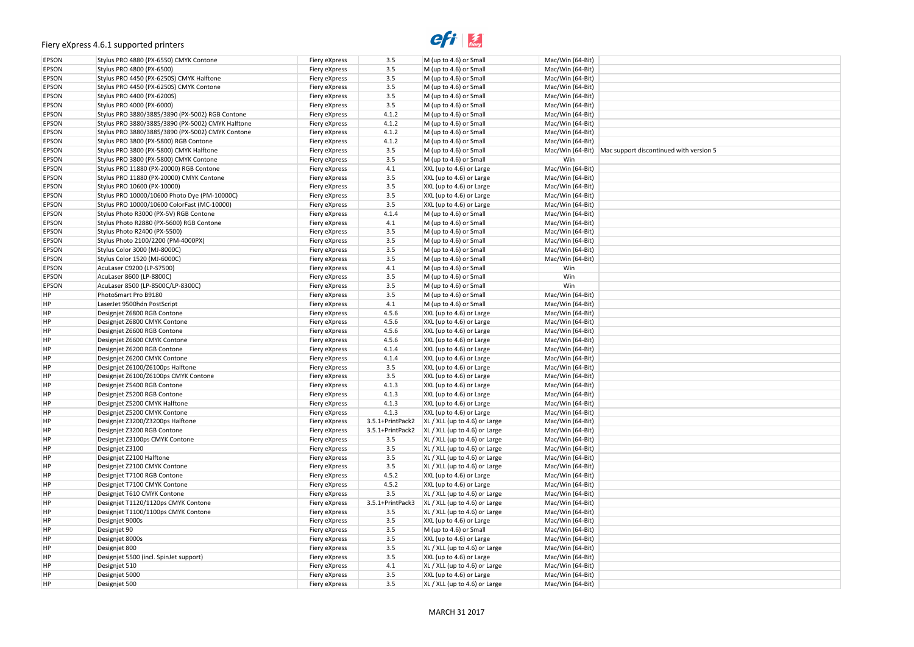# $e$ *fi*  $\frac{1}{\text{f}}$

| version 5 |  |
|-----------|--|
|           |  |
|           |  |
|           |  |
|           |  |
|           |  |
|           |  |
|           |  |
|           |  |
|           |  |
|           |  |
|           |  |
|           |  |
|           |  |
|           |  |
|           |  |
|           |  |
|           |  |
|           |  |
|           |  |
|           |  |
|           |  |
|           |  |
|           |  |
|           |  |
|           |  |
|           |  |
|           |  |
|           |  |
|           |  |
|           |  |
|           |  |
|           |  |
|           |  |
|           |  |
|           |  |
|           |  |
|           |  |
|           |  |
|           |  |
|           |  |
|           |  |
|           |  |
|           |  |
|           |  |
|           |  |
|           |  |
|           |  |
|           |  |
|           |  |
|           |  |

| EPSON | Stylus PRO 4880 (PX-6550) CMYK Contone            | Fiery eXpress                  | 3.5              | M (up to 4.6) or Small          | Mac/Win (64-Bit) |                                                          |
|-------|---------------------------------------------------|--------------------------------|------------------|---------------------------------|------------------|----------------------------------------------------------|
| EPSON | Stylus PRO 4800 (PX-6500)                         | Fiery eXpress                  | 3.5              | M (up to 4.6) or Small          | Mac/Win (64-Bit) |                                                          |
| EPSON | Stylus PRO 4450 (PX-6250S) CMYK Halftone          | Fiery eXpress                  | 3.5              | M (up to 4.6) or Small          | Mac/Win (64-Bit) |                                                          |
| EPSON | Stylus PRO 4450 (PX-6250S) CMYK Contone           | Fiery eXpress                  | 3.5              | M (up to 4.6) or Small          | Mac/Win (64-Bit) |                                                          |
| EPSON | Stylus PRO 4400 (PX-6200S)                        | Fiery eXpress                  | 3.5              | M (up to 4.6) or Small          | Mac/Win (64-Bit) |                                                          |
| EPSON | Stylus PRO 4000 (PX-6000)                         | Fiery eXpress                  | $3.5\,$          | M (up to 4.6) or Small          | Mac/Win (64-Bit) |                                                          |
| EPSON | Stylus PRO 3880/3885/3890 (PX-5002) RGB Contone   | Fiery eXpress                  | 4.1.2            | M (up to 4.6) or Small          | Mac/Win (64-Bit) |                                                          |
| EPSON | Stylus PRO 3880/3885/3890 (PX-5002) CMYK Halftone | Fiery eXpress                  | 4.1.2            | M (up to 4.6) or Small          | Mac/Win (64-Bit) |                                                          |
| EPSON | Stylus PRO 3880/3885/3890 (PX-5002) CMYK Contone  | Fiery eXpress                  | 4.1.2            | M (up to 4.6) or Small          | Mac/Win (64-Bit) |                                                          |
| EPSON | Stylus PRO 3800 (PX-5800) RGB Contone             | Fiery eXpress                  | 4.1.2            | M (up to 4.6) or Small          | Mac/Win (64-Bit) |                                                          |
| EPSON | Stylus PRO 3800 (PX-5800) CMYK Halftone           | Fiery eXpress                  | 3.5              | M (up to 4.6) or Small          |                  | Mac/Win (64-Bit) Mac support discontinued with version 5 |
| EPSON | Stylus PRO 3800 (PX-5800) CMYK Contone            | Fiery eXpress                  | 3.5              | M (up to 4.6) or Small          | Win              |                                                          |
| EPSON | Stylus PRO 11880 (PX-20000) RGB Contone           | Fiery eXpress                  | 4.1              | XXL (up to 4.6) or Large        | Mac/Win (64-Bit) |                                                          |
| EPSON | Stylus PRO 11880 (PX-20000) CMYK Contone          | Fiery eXpress                  | 3.5              | XXL (up to 4.6) or Large        | Mac/Win (64-Bit) |                                                          |
| EPSON | Stylus PRO 10600 (PX-10000)                       | Fiery eXpress                  | 3.5              | XXL (up to 4.6) or Large        | Mac/Win (64-Bit) |                                                          |
| EPSON | Stylus PRO 10000/10600 Photo Dye (PM-10000C)      | Fiery eXpress                  | 3.5              | XXL (up to 4.6) or Large        | Mac/Win (64-Bit) |                                                          |
| EPSON | Stylus PRO 10000/10600 ColorFast (MC-10000)       | Fiery eXpress                  | 3.5              | XXL (up to 4.6) or Large        | Mac/Win (64-Bit) |                                                          |
| EPSON | Stylus Photo R3000 (PX-5V) RGB Contone            | Fiery eXpress                  | 4.1.4            | M (up to 4.6) or Small          | Mac/Win (64-Bit) |                                                          |
| EPSON | Stylus Photo R2880 (PX-5600) RGB Contone          | Fiery eXpress                  | 4.1              | M (up to 4.6) or Small          | Mac/Win (64-Bit) |                                                          |
| EPSON | Stylus Photo R2400 (PX-5500)                      | Fiery eXpress                  | 3.5              | M (up to 4.6) or Small          | Mac/Win (64-Bit) |                                                          |
| EPSON | Stylus Photo 2100/2200 (PM-4000PX)                | Fiery eXpress                  | 3.5              | M (up to 4.6) or Small          | Mac/Win (64-Bit) |                                                          |
| EPSON | Stylus Color 3000 (MJ-8000C)                      | Fiery eXpress                  | 3.5              | M (up to 4.6) or Small          | Mac/Win (64-Bit) |                                                          |
| EPSON | Stylus Color 1520 (MJ-6000C)                      |                                | $3.5\,$          | M (up to 4.6) or Small          | Mac/Win (64-Bit) |                                                          |
| EPSON | AcuLaser C9200 (LP-S7500)                         | Fiery eXpress<br>Fiery eXpress | 4.1              | M (up to 4.6) or Small          | Win              |                                                          |
| EPSON | AcuLaser 8600 (LP-8800C)                          |                                | $3.5\,$          |                                 | Win              |                                                          |
|       |                                                   | Fiery eXpress                  | $3.5\,$          | M (up to 4.6) or Small          | Win              |                                                          |
| EPSON | AcuLaser 8500 (LP-8500C/LP-8300C)                 | Fiery eXpress                  |                  | M (up to 4.6) or Small          |                  |                                                          |
| ΗP    | PhotoSmart Pro B9180                              | Fiery eXpress                  | 3.5              | M (up to 4.6) or Small          | Mac/Win (64-Bit) |                                                          |
| ΗP    | LaserJet 9500hdn PostScript                       | Fiery eXpress                  | 4.1              | M (up to 4.6) or Small          | Mac/Win (64-Bit) |                                                          |
| ΗP    | Designjet Z6800 RGB Contone                       | Fiery eXpress                  | 4.5.6            | XXL (up to 4.6) or Large        | Mac/Win (64-Bit) |                                                          |
| ΗP    | Designjet Z6800 CMYK Contone                      | Fiery eXpress                  | 4.5.6            | XXL (up to 4.6) or Large        | Mac/Win (64-Bit) |                                                          |
| ΗP    | Designjet Z6600 RGB Contone                       | Fiery eXpress                  | 4.5.6            | XXL (up to 4.6) or Large        | Mac/Win (64-Bit) |                                                          |
| ΗP    | Designjet Z6600 CMYK Contone                      | Fiery eXpress                  | 4.5.6            | XXL (up to 4.6) or Large        | Mac/Win (64-Bit) |                                                          |
| ΗP    | Designjet Z6200 RGB Contone                       | Fiery eXpress                  | 4.1.4            | XXL (up to 4.6) or Large        | Mac/Win (64-Bit) |                                                          |
| ΗP    | Designjet Z6200 CMYK Contone                      | Fiery eXpress                  | 4.1.4            | XXL (up to 4.6) or Large        | Mac/Win (64-Bit) |                                                          |
| ΗP    | Designjet Z6100/Z6100ps Halftone                  | Fiery eXpress                  | 3.5              | XXL (up to 4.6) or Large        | Mac/Win (64-Bit) |                                                          |
| ΗP    | Designjet Z6100/Z6100ps CMYK Contone              | Fiery eXpress                  | 3.5              | XXL (up to 4.6) or Large        | Mac/Win (64-Bit) |                                                          |
| ΗP    | Designjet Z5400 RGB Contone                       | Fiery eXpress                  | 4.1.3            | XXL (up to 4.6) or Large        | Mac/Win (64-Bit) |                                                          |
| ΗP    | Designjet Z5200 RGB Contone                       | Fiery eXpress                  | 4.1.3            | XXL (up to 4.6) or Large        | Mac/Win (64-Bit) |                                                          |
| ΗP    | Designjet Z5200 CMYK Halftone                     | Fiery eXpress                  | 4.1.3            | XXL (up to 4.6) or Large        | Mac/Win (64-Bit) |                                                          |
| ΗP    | Designjet Z5200 CMYK Contone                      | Fiery eXpress                  | 4.1.3            | XXL (up to 4.6) or Large        | Mac/Win (64-Bit) |                                                          |
| ΗP    | Designjet Z3200/Z3200ps Halftone                  | Fiery eXpress                  | 3.5.1+PrintPack2 | $XL / XLL$ (up to 4.6) or Large | Mac/Win (64-Bit) |                                                          |
| ΗP    | Designjet Z3200 RGB Contone                       | Fiery eXpress                  | 3.5.1+PrintPack2 | $XL / XLL$ (up to 4.6) or Large | Mac/Win (64-Bit) |                                                          |
| ΗP    | Designjet Z3100ps CMYK Contone                    | Fiery eXpress                  | 3.5              | $XL / XL (up to 4.6)$ or Large  | Mac/Win (64-Bit) |                                                          |
| ΗP    | Designjet Z3100                                   | Fiery eXpress                  | 3.5              | XL / XLL (up to 4.6) or Large   | Mac/Win (64-Bit) |                                                          |
| ΗP    | Designjet Z2100 Halftone                          | Fiery eXpress                  | 3.5              | XL / XLL (up to 4.6) or Large   | Mac/Win (64-Bit) |                                                          |
| ΗP    | Designjet Z2100 CMYK Contone                      | Fiery eXpress                  | 3.5              | $XL / XLL$ (up to 4.6) or Large | Mac/Win (64-Bit) |                                                          |
| ΗP    | Designjet T7100 RGB Contone                       | Fiery eXpress                  | 4.5.2            | XXL (up to 4.6) or Large        | Mac/Win (64-Bit) |                                                          |
| ΗP    | Designjet T7100 CMYK Contone                      | Fiery eXpress                  | 4.5.2            | XXL (up to 4.6) or Large        | Mac/Win (64-Bit) |                                                          |
| ΗP    | Designjet T610 CMYK Contone                       | Fiery eXpress                  | 3.5              | XL / XLL (up to 4.6) or Large   | Mac/Win (64-Bit) |                                                          |
| ΗP    | Designjet T1120/1120ps CMYK Contone               | Fiery eXpress                  | 3.5.1+PrintPack3 | $XL / XLL$ (up to 4.6) or Large | Mac/Win (64-Bit) |                                                          |
| ΗP    | Designjet T1100/1100ps CMYK Contone               | Fiery eXpress                  | 3.5              | $XL / XLL$ (up to 4.6) or Large | Mac/Win (64-Bit) |                                                          |
| ΗP    | Designjet 9000s                                   | Fiery eXpress                  | 3.5              | XXL (up to 4.6) or Large        | Mac/Win (64-Bit) |                                                          |
| ΗP    | Designjet 90                                      | Fiery eXpress                  | 3.5              | M (up to 4.6) or Small          | Mac/Win (64-Bit) |                                                          |
| ΗP    | Designjet 8000s                                   | Fiery eXpress                  | 3.5              | XXL (up to 4.6) or Large        | Mac/Win (64-Bit) |                                                          |
| ΗP    | Designjet 800                                     | Fiery eXpress                  | 3.5              | XL / XLL (up to 4.6) or Large   | Mac/Win (64-Bit) |                                                          |
| ΗP    | Designjet 5500 (incl. SpinJet support)            | Fiery eXpress                  | 3.5              | XXL (up to 4.6) or Large        | Mac/Win (64-Bit) |                                                          |
| ΗP    | Designjet 510                                     | Fiery eXpress                  | 4.1              | XL / XLL (up to 4.6) or Large   | Mac/Win (64-Bit) |                                                          |
| ΗP    | Designjet 5000                                    | Fiery eXpress                  | 3.5              | XXL (up to 4.6) or Large        | Mac/Win (64-Bit) |                                                          |
| ΗP    | Designjet 500                                     | Fiery eXpress                  | 3.5              | XL / XLL (up to 4.6) or Large   | Mac/Win (64-Bit) |                                                          |
|       |                                                   |                                |                  |                                 |                  |                                                          |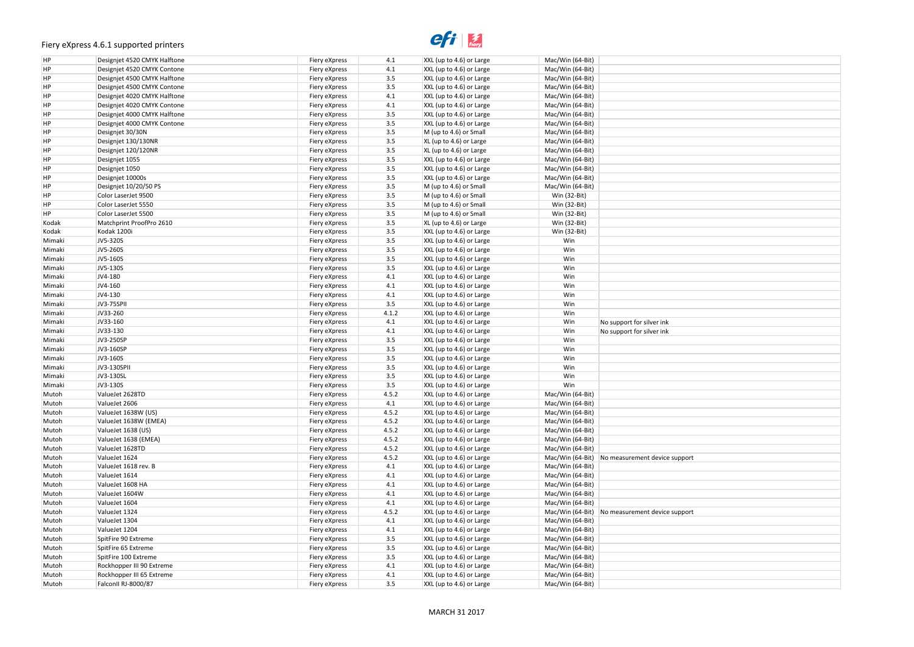### $e$ <sup>1</sup>

| ort |  |
|-----|--|
|     |  |
|     |  |
|     |  |
|     |  |
|     |  |
|     |  |
|     |  |
|     |  |
|     |  |
| ort |  |
|     |  |
|     |  |
|     |  |
|     |  |
|     |  |
|     |  |
|     |  |
|     |  |
|     |  |
|     |  |
|     |  |
|     |  |

| HP     | Designiet 4520 CMYK Halftone | Fiery eXpress | 4.1     | XXL (up to 4.6) or Large | Mac/Win (64-Bit) |                                                  |
|--------|------------------------------|---------------|---------|--------------------------|------------------|--------------------------------------------------|
| HP     | Designjet 4520 CMYK Contone  | Fiery eXpress | 4.1     | XXL (up to 4.6) or Large | Mac/Win (64-Bit) |                                                  |
| HP     | Designjet 4500 CMYK Halftone | Fiery eXpress | 3.5     | XXL (up to 4.6) or Large | Mac/Win (64-Bit) |                                                  |
| HP     | Designjet 4500 CMYK Contone  | Fiery eXpress | $3.5\,$ | XXL (up to 4.6) or Large | Mac/Win (64-Bit) |                                                  |
| HP     | Designjet 4020 CMYK Halftone | Fiery eXpress | 4.1     | XXL (up to 4.6) or Large | Mac/Win (64-Bit) |                                                  |
| HP     | Designjet 4020 CMYK Contone  | Fiery eXpress | 4.1     | XXL (up to 4.6) or Large | Mac/Win (64-Bit) |                                                  |
| HP     | Designjet 4000 CMYK Halftone | Fiery eXpress | $3.5\,$ | XXL (up to 4.6) or Large | Mac/Win (64-Bit) |                                                  |
| HP     | Designjet 4000 CMYK Contone  | Fiery eXpress | $3.5\,$ | XXL (up to 4.6) or Large | Mac/Win (64-Bit) |                                                  |
| ΗP     | Designjet 30/30N             | Fiery eXpress | $3.5\,$ | M (up to 4.6) or Small   | Mac/Win (64-Bit) |                                                  |
| HP     | Designjet 130/130NR          | Fiery eXpress | $3.5\,$ | XL (up to 4.6) or Large  | Mac/Win (64-Bit) |                                                  |
| HP     | Designjet 120/120NR          | Fiery eXpress | $3.5\,$ | XL (up to 4.6) or Large  | Mac/Win (64-Bit) |                                                  |
| HP     | Designjet 1055               | Fiery eXpress | $3.5\,$ | XXL (up to 4.6) or Large | Mac/Win (64-Bit) |                                                  |
| HP     | Designjet 1050               | Fiery eXpress | $3.5\,$ | XXL (up to 4.6) or Large | Mac/Win (64-Bit) |                                                  |
| HP     | Designjet 10000s             | Fiery eXpress | $3.5\,$ | XXL (up to 4.6) or Large | Mac/Win (64-Bit) |                                                  |
| HP     | Designjet 10/20/50 PS        | Fiery eXpress | $3.5\,$ | M (up to 4.6) or Small   | Mac/Win (64-Bit) |                                                  |
| HP     | Color LaserJet 9500          | Fiery eXpress | $3.5\,$ | M (up to 4.6) or Small   | Win (32-Bit)     |                                                  |
| HP     | Color LaserJet 5550          | Fiery eXpress | $3.5\,$ | M (up to 4.6) or Small   | Win (32-Bit)     |                                                  |
| HP     | Color LaserJet 5500          | Fiery eXpress | $3.5\,$ | M (up to 4.6) or Small   | Win (32-Bit)     |                                                  |
| Kodak  | Matchprint ProofPro 2610     | Fiery eXpress | $3.5\,$ | XL (up to 4.6) or Large  | Win (32-Bit)     |                                                  |
| Kodak  | Kodak 1200i                  | Fiery eXpress | $3.5\,$ | XXL (up to 4.6) or Large | Win (32-Bit)     |                                                  |
| Mimaki | JV5-320S                     | Fiery eXpress | $3.5\,$ | XXL (up to 4.6) or Large | Win              |                                                  |
| Mimaki | JV5-260S                     | Fiery eXpress | $3.5\,$ | XXL (up to 4.6) or Large | Win              |                                                  |
| Mimaki | JV5-160S                     | Fiery eXpress | $3.5\,$ | XXL (up to 4.6) or Large | Win              |                                                  |
| Mimaki | JV5-130S                     | Fiery eXpress | $3.5\,$ | XXL (up to 4.6) or Large | Win              |                                                  |
| Mimaki | JV4-180                      | Fiery eXpress | 4.1     | XXL (up to 4.6) or Large | Win              |                                                  |
| Mimaki | JV4-160                      | Fiery eXpress | 4.1     | XXL (up to 4.6) or Large | Win              |                                                  |
| Mimaki | JV4-130                      | Fiery eXpress | 4.1     | XXL (up to 4.6) or Large | Win              |                                                  |
| Mimaki | JV3-75SPII                   | Fiery eXpress | $3.5\,$ | XXL (up to 4.6) or Large | Win              |                                                  |
| Mimaki | JV33-260                     | Fiery eXpress | 4.1.2   | XXL (up to 4.6) or Large | Win              |                                                  |
| Mimaki | JV33-160                     | Fiery eXpress | 4.1     | XXL (up to 4.6) or Large | Win              | No support for silver ink                        |
| Mimaki | JV33-130                     | Fiery eXpress | 4.1     | XXL (up to 4.6) or Large | Win              | No support for silver ink                        |
| Mimaki | JV3-250SP                    | Fiery eXpress | 3.5     | XXL (up to 4.6) or Large | Win              |                                                  |
| Mimaki | JV3-160SP                    | Fiery eXpress | 3.5     | XXL (up to 4.6) or Large | Win              |                                                  |
| Mimaki | JV3-160S                     | Fiery eXpress | 3.5     | XXL (up to 4.6) or Large | Win              |                                                  |
| Mimaki | JV3-130SPII                  | Fiery eXpress | 3.5     | XXL (up to 4.6) or Large | Win              |                                                  |
| Mimaki | JV3-130SL                    | Fiery eXpress | $3.5\,$ | XXL (up to 4.6) or Large | Win              |                                                  |
| Mimaki | JV3-130S                     | Fiery eXpress | $3.5\,$ | XXL (up to 4.6) or Large | Win              |                                                  |
| Mutoh  | ValueJet 2628TD              | Fiery eXpress | 4.5.2   | XXL (up to 4.6) or Large | Mac/Win (64-Bit) |                                                  |
| Mutoh  | ValueJet 2606                | Fiery eXpress | 4.1     | XXL (up to 4.6) or Large | Mac/Win (64-Bit) |                                                  |
| Mutoh  | ValueJet 1638W (US)          | Fiery eXpress | 4.5.2   | XXL (up to 4.6) or Large | Mac/Win (64-Bit) |                                                  |
| Mutoh  | ValueJet 1638W (EMEA)        | Fiery eXpress | 4.5.2   | XXL (up to 4.6) or Large | Mac/Win (64-Bit) |                                                  |
| Mutoh  | ValueJet 1638 (US)           | Fiery eXpress | 4.5.2   | XXL (up to 4.6) or Large | Mac/Win (64-Bit) |                                                  |
| Mutoh  | ValueJet 1638 (EMEA)         | Fiery eXpress | 4.5.2   | XXL (up to 4.6) or Large | Mac/Win (64-Bit) |                                                  |
| Mutoh  | ValueJet 1628TD              | Fiery eXpress | 4.5.2   | XXL (up to 4.6) or Large | Mac/Win (64-Bit) |                                                  |
| Mutoh  | ValueJet 1624                | Fiery eXpress | 4.5.2   | XXL (up to 4.6) or Large |                  | Mac/Win (64-Bit)   No measurement device support |
| Mutoh  | ValueJet 1618 rev. B         | Fiery eXpress | 4.1     | XXL (up to 4.6) or Large | Mac/Win (64-Bit) |                                                  |
| Mutoh  | ValueJet 1614                | Fiery eXpress | 4.1     | XXL (up to 4.6) or Large | Mac/Win (64-Bit) |                                                  |
| Mutoh  | ValueJet 1608 HA             | Fiery eXpress | 4.1     | XXL (up to 4.6) or Large | Mac/Win (64-Bit) |                                                  |
| Mutoh  | ValueJet 1604W               | Fiery eXpress | 4.1     | XXL (up to 4.6) or Large | Mac/Win (64-Bit) |                                                  |
| Mutoh  | ValueJet 1604                | Fiery eXpress | 4.1     | XXL (up to 4.6) or Large | Mac/Win (64-Bit) |                                                  |
| Mutoh  | ValueJet 1324                | Fiery eXpress | 4.5.2   | XXL (up to 4.6) or Large |                  | Mac/Win (64-Bit)   No measurement device support |
|        | ValueJet 1304                |               | 4.1     |                          |                  |                                                  |
| Mutoh  |                              | Fiery eXpress |         | XXL (up to 4.6) or Large | Mac/Win (64-Bit) |                                                  |
| Mutoh  | ValueJet 1204                | Fiery eXpress | 4.1     | XXL (up to 4.6) or Large | Mac/Win (64-Bit) |                                                  |
| Mutoh  | SpitFire 90 Extreme          | Fiery eXpress | 3.5     | XXL (up to 4.6) or Large | Mac/Win (64-Bit) |                                                  |
| Mutoh  | SpitFire 65 Extreme          | Fiery eXpress | 3.5     | XXL (up to 4.6) or Large | Mac/Win (64-Bit) |                                                  |
| Mutoh  | SpitFire 100 Extreme         | Fiery eXpress | 3.5     | XXL (up to 4.6) or Large | Mac/Win (64-Bit) |                                                  |
| Mutoh  | Rockhopper III 90 Extreme    | Fiery eXpress | 4.1     | XXL (up to 4.6) or Large | Mac/Win (64-Bit) |                                                  |
| Mutoh  | Rockhopper III 65 Extreme    | Fiery eXpress | 4.1     | XXL (up to 4.6) or Large | Mac/Win (64-Bit) |                                                  |
| Mutoh  | FalconII RJ-8000/87          | Fiery eXpress | 3.5     | XXL (up to 4.6) or Large | Mac/Win (64-Bit) |                                                  |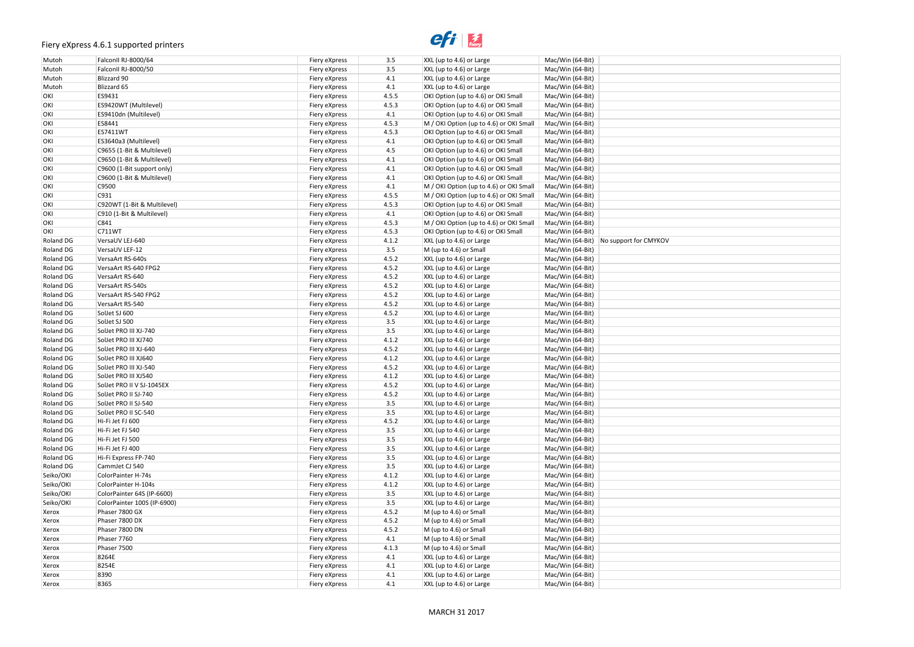### $e$ <sup>1</sup>

| Mutoh     | FalconII RJ-8000/64         | Fiery eXpress | 3.5     | XXL (up to 4.6) or Large                | Mac/Win (64-Bit) |                                          |
|-----------|-----------------------------|---------------|---------|-----------------------------------------|------------------|------------------------------------------|
| Mutoh     | FalconII RJ-8000/50         | Fiery eXpress | 3.5     | XXL (up to 4.6) or Large                | Mac/Win (64-Bit) |                                          |
| Mutoh     | Blizzard 90                 | Fiery eXpress | 4.1     | XXL (up to 4.6) or Large                | Mac/Win (64-Bit) |                                          |
| Mutoh     | Blizzard 65                 | Fiery eXpress | 4.1     | XXL (up to 4.6) or Large                | Mac/Win (64-Bit) |                                          |
| OKI       | ES9431                      | Fiery eXpress | 4.5.5   | OKI Option (up to 4.6) or OKI Small     | Mac/Win (64-Bit) |                                          |
| OKI       | ES9420WT (Multilevel)       | Fiery eXpress | 4.5.3   | OKI Option (up to 4.6) or OKI Small     | Mac/Win (64-Bit) |                                          |
| OKI       | ES9410dn (Multilevel)       | Fiery eXpress | 4.1     | OKI Option (up to 4.6) or OKI Small     | Mac/Win (64-Bit) |                                          |
| OKI       | ES8441                      | Fiery eXpress | 4.5.3   | M / OKI Option (up to 4.6) or OKI Small | Mac/Win (64-Bit) |                                          |
| OKI       | ES7411WT                    | Fiery eXpress | 4.5.3   | OKI Option (up to 4.6) or OKI Small     | Mac/Win (64-Bit) |                                          |
| OKI       | ES3640a3 (Multilevel)       | Fiery eXpress | 4.1     | OKI Option (up to 4.6) or OKI Small     | Mac/Win (64-Bit) |                                          |
| OKI       | C9655 (1-Bit & Multilevel)  | Fiery eXpress | 4.5     | OKI Option (up to 4.6) or OKI Small     | Mac/Win (64-Bit) |                                          |
| OKI       | C9650 (1-Bit & Multilevel)  | Fiery eXpress | 4.1     | OKI Option (up to 4.6) or OKI Small     | Mac/Win (64-Bit) |                                          |
| OKI       | C9600 (1-Bit support only)  | Fiery eXpress | 4.1     | OKI Option (up to 4.6) or OKI Small     | Mac/Win (64-Bit) |                                          |
| OKI       | C9600 (1-Bit & Multilevel)  | Fiery eXpress | 4.1     | OKI Option (up to 4.6) or OKI Small     | Mac/Win (64-Bit) |                                          |
| OKI       | C9500                       |               | 4.1     | M / OKI Option (up to 4.6) or OKI Small | Mac/Win (64-Bit) |                                          |
|           | C931                        | Fiery eXpress |         |                                         |                  |                                          |
| OKI       |                             | Fiery eXpress | 4.5.5   | M / OKI Option (up to 4.6) or OKI Small | Mac/Win (64-Bit) |                                          |
| OKI       | C920WT (1-Bit & Multilevel) | Fiery eXpress | 4.5.3   | OKI Option (up to 4.6) or OKI Small     | Mac/Win (64-Bit) |                                          |
| OKI       | C910 (1-Bit & Multilevel)   | Fiery eXpress | 4.1     | OKI Option (up to 4.6) or OKI Small     | Mac/Win (64-Bit) |                                          |
| OKI       | C841                        | Fiery eXpress | 4.5.3   | M / OKI Option (up to 4.6) or OKI Small | Mac/Win (64-Bit) |                                          |
| OKI       | C711WT                      | Fiery eXpress | 4.5.3   | OKI Option (up to 4.6) or OKI Small     | Mac/Win (64-Bit) |                                          |
| Roland DG | VersaUV LEJ-640             | Fiery eXpress | 4.1.2   | XXL (up to 4.6) or Large                |                  | Mac/Win (64-Bit)   No support for CMYKOV |
| Roland DG | VersaUV LEF-12              | Fiery eXpress | 3.5     | M (up to 4.6) or Small                  | Mac/Win (64-Bit) |                                          |
| Roland DG | VersaArt RS-640s            | Fiery eXpress | 4.5.2   | XXL (up to 4.6) or Large                | Mac/Win (64-Bit) |                                          |
| Roland DG | VersaArt RS-640 FPG2        | Fiery eXpress | 4.5.2   | XXL (up to 4.6) or Large                | Mac/Win (64-Bit) |                                          |
| Roland DG | VersaArt RS-640             | Fiery eXpress | 4.5.2   | XXL (up to 4.6) or Large                | Mac/Win (64-Bit) |                                          |
| Roland DG | VersaArt RS-540s            | Fiery eXpress | 4.5.2   | XXL (up to 4.6) or Large                | Mac/Win (64-Bit) |                                          |
| Roland DG | VersaArt RS-540 FPG2        | Fiery eXpress | 4.5.2   | XXL (up to 4.6) or Large                | Mac/Win (64-Bit) |                                          |
| Roland DG | VersaArt RS-540             | Fiery eXpress | 4.5.2   | XXL (up to 4.6) or Large                | Mac/Win (64-Bit) |                                          |
| Roland DG | SolJet SJ 600               | Fiery eXpress | 4.5.2   | XXL (up to 4.6) or Large                | Mac/Win (64-Bit) |                                          |
| Roland DG | SolJet SJ 500               | Fiery eXpress | 3.5     | XXL (up to 4.6) or Large                | Mac/Win (64-Bit) |                                          |
| Roland DG | SolJet PRO III XJ-740       | Fiery eXpress | 3.5     | XXL (up to 4.6) or Large                | Mac/Win (64-Bit) |                                          |
| Roland DG | SolJet PRO III XJ740        | Fiery eXpress | 4.1.2   | XXL (up to 4.6) or Large                | Mac/Win (64-Bit) |                                          |
| Roland DG | SolJet PRO III XJ-640       | Fiery eXpress | 4.5.2   | XXL (up to 4.6) or Large                | Mac/Win (64-Bit) |                                          |
| Roland DG | SolJet PRO III XJ640        | Fiery eXpress | 4.1.2   | XXL (up to 4.6) or Large                | Mac/Win (64-Bit) |                                          |
| Roland DG | SolJet PRO III XJ-540       | Fiery eXpress | 4.5.2   | XXL (up to 4.6) or Large                | Mac/Win (64-Bit) |                                          |
| Roland DG | SolJet PRO III XJ540        | Fiery eXpress | 4.1.2   | XXL (up to 4.6) or Large                | Mac/Win (64-Bit) |                                          |
| Roland DG | SolJet PRO II V SJ-1045EX   | Fiery eXpress | 4.5.2   | XXL (up to 4.6) or Large                | Mac/Win (64-Bit) |                                          |
| Roland DG | SolJet PRO II SJ-740        | Fiery eXpress | 4.5.2   | XXL (up to 4.6) or Large                | Mac/Win (64-Bit) |                                          |
| Roland DG | SolJet PRO II SJ-540        | Fiery eXpress | $3.5\,$ | XXL (up to 4.6) or Large                | Mac/Win (64-Bit) |                                          |
| Roland DG | SolJet PRO II SC-540        | Fiery eXpress | 3.5     | XXL (up to 4.6) or Large                | Mac/Win (64-Bit) |                                          |
| Roland DG | Hi-Fi Jet FJ 600            | Fiery eXpress | 4.5.2   | XXL (up to 4.6) or Large                | Mac/Win (64-Bit) |                                          |
| Roland DG | Hi-Fi Jet FJ 540            | Fiery eXpress | 3.5     | XXL (up to 4.6) or Large                | Mac/Win (64-Bit) |                                          |
| Roland DG | Hi-Fi Jet FJ 500            | Fiery eXpress | 3.5     | XXL (up to 4.6) or Large                | Mac/Win (64-Bit) |                                          |
| Roland DG | Hi-Fi Jet FJ 400            | Fiery eXpress | 3.5     | XXL (up to 4.6) or Large                | Mac/Win (64-Bit) |                                          |
| Roland DG | Hi-Fi Express FP-740        | Fiery eXpress | $3.5\,$ | XXL (up to 4.6) or Large                | Mac/Win (64-Bit) |                                          |
| Roland DG | CammJet CJ 540              | Fiery eXpress | 3.5     | XXL (up to 4.6) or Large                | Mac/Win (64-Bit) |                                          |
| Seiko/OKI | ColorPainter H-74s          | Fiery eXpress | 4.1.2   | XXL (up to 4.6) or Large                | Mac/Win (64-Bit) |                                          |
| Seiko/OKI | ColorPainter H-104s         | Fiery eXpress | 4.1.2   | XXL (up to 4.6) or Large                | Mac/Win (64-Bit) |                                          |
| Seiko/OKI | ColorPainter 64S (IP-6600)  | Fiery eXpress | 3.5     | XXL (up to 4.6) or Large                | Mac/Win (64-Bit) |                                          |
| Seiko/OKI | ColorPainter 100S (IP-6900) | Fiery eXpress | 3.5     | XXL (up to 4.6) or Large                | Mac/Win (64-Bit) |                                          |
| Xerox     | Phaser 7800 GX              | Fiery eXpress | 4.5.2   | M (up to 4.6) or Small                  | Mac/Win (64-Bit) |                                          |
|           | Phaser 7800 DX              |               | 4.5.2   | M (up to 4.6) or Small                  | Mac/Win (64-Bit) |                                          |
| Xerox     |                             | Fiery eXpress |         |                                         |                  |                                          |
| Xerox     | Phaser 7800 DN              | Fiery eXpress | 4.5.2   | M (up to 4.6) or Small                  | Mac/Win (64-Bit) |                                          |
| Xerox     | Phaser 7760                 | Fiery eXpress | 4.1     | M (up to 4.6) or Small                  | Mac/Win (64-Bit) |                                          |
| Xerox     | Phaser 7500                 | Fiery eXpress | 4.1.3   | M (up to 4.6) or Small                  | Mac/Win (64-Bit) |                                          |
| Xerox     | 8264E                       | Fiery eXpress | 4.1     | XXL (up to 4.6) or Large                | Mac/Win (64-Bit) |                                          |
| Xerox     | 8254E                       | Fiery eXpress | 4.1     | XXL (up to 4.6) or Large                | Mac/Win (64-Bit) |                                          |
| Xerox     | 8390                        | Fiery eXpress | 4.1     | XXL (up to 4.6) or Large                | Mac/Win (64-Bit) |                                          |
| Xerox     | 8365                        | Fiery eXpress | 4.1     | XXL (up to 4.6) or Large                | Mac/Win (64-Bit) |                                          |